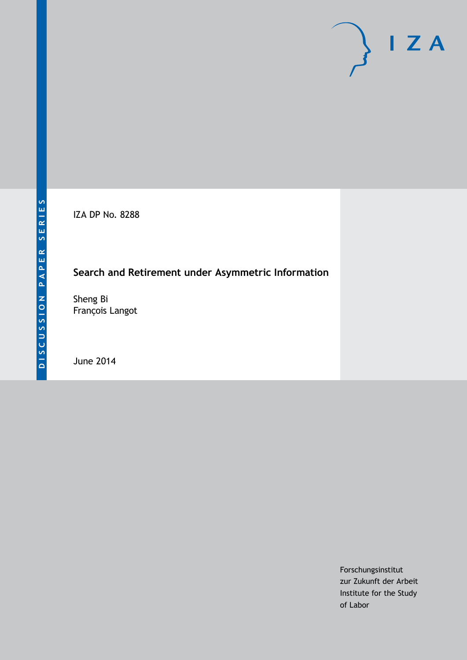IZA DP No. 8288

# **Search and Retirement under Asymmetric Information**

Sheng Bi François Langot

June 2014

Forschungsinstitut zur Zukunft der Arbeit Institute for the Study of Labor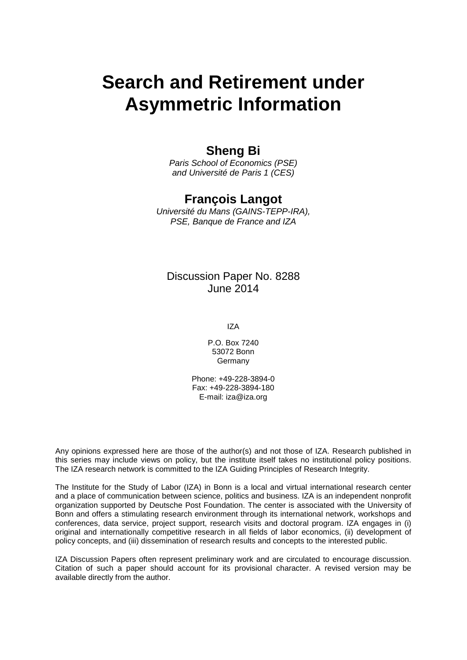# **Search and Retirement under Asymmetric Information**

### **Sheng Bi**

*Paris School of Economics (PSE) and Université de Paris 1 (CES)*

#### **François Langot**

*Université du Mans (GAINS-TEPP-IRA), PSE, Banque de France and IZA*

#### Discussion Paper No. 8288 June 2014

IZA

P.O. Box 7240 53072 Bonn **Germany** 

Phone: +49-228-3894-0 Fax: +49-228-3894-180 E-mail: [iza@iza.org](mailto:iza@iza.org)

Any opinions expressed here are those of the author(s) and not those of IZA. Research published in this series may include views on policy, but the institute itself takes no institutional policy positions. The IZA research network is committed to the IZA Guiding Principles of Research Integrity.

The Institute for the Study of Labor (IZA) in Bonn is a local and virtual international research center and a place of communication between science, politics and business. IZA is an independent nonprofit organization supported by Deutsche Post Foundation. The center is associated with the University of Bonn and offers a stimulating research environment through its international network, workshops and conferences, data service, project support, research visits and doctoral program. IZA engages in (i) original and internationally competitive research in all fields of labor economics, (ii) development of policy concepts, and (iii) dissemination of research results and concepts to the interested public.

<span id="page-1-0"></span>IZA Discussion Papers often represent preliminary work and are circulated to encourage discussion. Citation of such a paper should account for its provisional character. A revised version may be available directly from the author.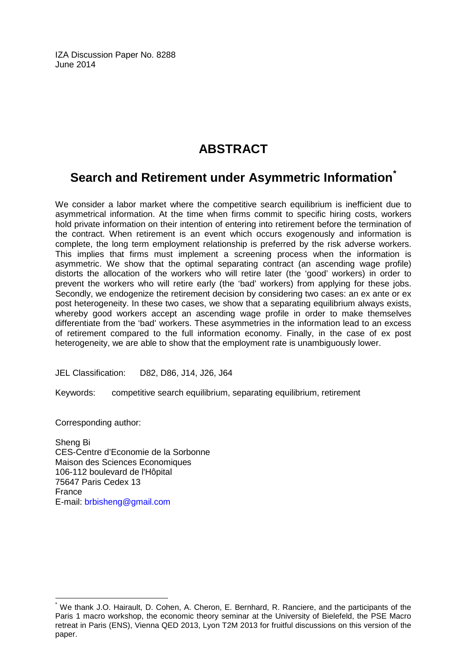IZA Discussion Paper No. 8288 June 2014

# **ABSTRACT**

# **Search and Retirement under Asymmetric Information[\\*](#page-1-0)**

We consider a labor market where the competitive search equilibrium is inefficient due to asymmetrical information. At the time when firms commit to specific hiring costs, workers hold private information on their intention of entering into retirement before the termination of the contract. When retirement is an event which occurs exogenously and information is complete, the long term employment relationship is preferred by the risk adverse workers. This implies that firms must implement a screening process when the information is asymmetric. We show that the optimal separating contract (an ascending wage profile) distorts the allocation of the workers who will retire later (the 'good' workers) in order to prevent the workers who will retire early (the 'bad' workers) from applying for these jobs. Secondly, we endogenize the retirement decision by considering two cases: an ex ante or ex post heterogeneity. In these two cases, we show that a separating equilibrium always exists, whereby good workers accept an ascending wage profile in order to make themselves differentiate from the 'bad' workers. These asymmetries in the information lead to an excess of retirement compared to the full information economy. Finally, in the case of ex post heterogeneity, we are able to show that the employment rate is unambiguously lower.

JEL Classification: D82, D86, J14, J26, J64

Keywords: competitive search equilibrium, separating equilibrium, retirement

Corresponding author:

Sheng Bi CES-Centre d'Economie de la Sorbonne Maison des Sciences Economiques 106-112 boulevard de l'Hôpital 75647 Paris Cedex 13 France E-mail: [brbisheng@gmail.com](mailto:brbisheng@gmail.com)

We thank J.O. Hairault, D. Cohen, A. Cheron, E. Bernhard, R. Ranciere, and the participants of the Paris 1 macro workshop, the economic theory seminar at the University of Bielefeld, the PSE Macro retreat in Paris (ENS), Vienna QED 2013, Lyon T2M 2013 for fruitful discussions on this version of the paper.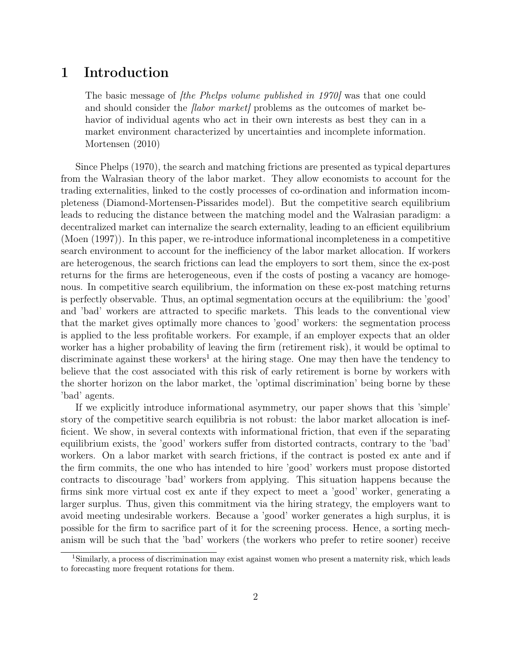### 1 Introduction

The basic message of *fthe Phelps volume published in 1970* was that one could and should consider the *labor market* problems as the outcomes of market behavior of individual agents who act in their own interests as best they can in a market environment characterized by uncertainties and incomplete information. Mortensen (2010)

Since Phelps (1970), the search and matching frictions are presented as typical departures from the Walrasian theory of the labor market. They allow economists to account for the trading externalities, linked to the costly processes of co-ordination and information incompleteness (Diamond-Mortensen-Pissarides model). But the competitive search equilibrium leads to reducing the distance between the matching model and the Walrasian paradigm: a decentralized market can internalize the search externality, leading to an efficient equilibrium (Moen (1997)). In this paper, we re-introduce informational incompleteness in a competitive search environment to account for the inefficiency of the labor market allocation. If workers are heterogenous, the search frictions can lead the employers to sort them, since the ex-post returns for the firms are heterogeneous, even if the costs of posting a vacancy are homogenous. In competitive search equilibrium, the information on these ex-post matching returns is perfectly observable. Thus, an optimal segmentation occurs at the equilibrium: the 'good' and 'bad' workers are attracted to specific markets. This leads to the conventional view that the market gives optimally more chances to 'good' workers: the segmentation process is applied to the less profitable workers. For example, if an employer expects that an older worker has a higher probability of leaving the firm (retirement risk), it would be optimal to discriminate against these workers<sup>1</sup> at the hiring stage. One may then have the tendency to believe that the cost associated with this risk of early retirement is borne by workers with the shorter horizon on the labor market, the 'optimal discrimination' being borne by these 'bad' agents.

If we explicitly introduce informational asymmetry, our paper shows that this 'simple' story of the competitive search equilibria is not robust: the labor market allocation is inefficient. We show, in several contexts with informational friction, that even if the separating equilibrium exists, the 'good' workers suffer from distorted contracts, contrary to the 'bad' workers. On a labor market with search frictions, if the contract is posted ex ante and if the firm commits, the one who has intended to hire 'good' workers must propose distorted contracts to discourage 'bad' workers from applying. This situation happens because the firms sink more virtual cost ex ante if they expect to meet a 'good' worker, generating a larger surplus. Thus, given this commitment via the hiring strategy, the employers want to avoid meeting undesirable workers. Because a 'good' worker generates a high surplus, it is possible for the firm to sacrifice part of it for the screening process. Hence, a sorting mechanism will be such that the 'bad' workers (the workers who prefer to retire sooner) receive

<sup>&</sup>lt;sup>1</sup>Similarly, a process of discrimination may exist against women who present a maternity risk, which leads to forecasting more frequent rotations for them.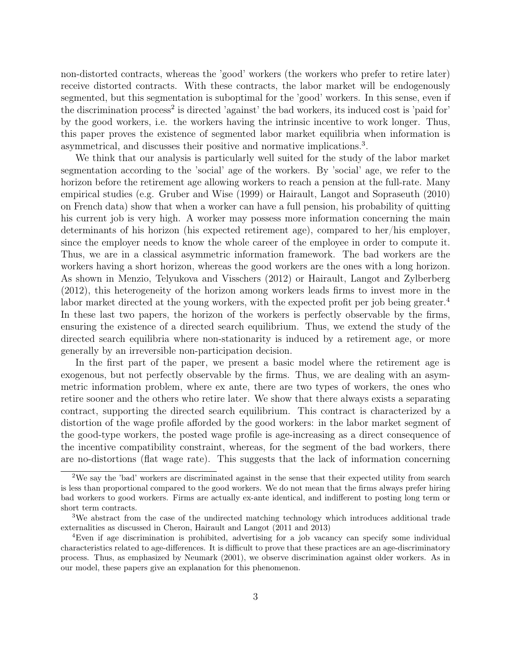non-distorted contracts, whereas the 'good' workers (the workers who prefer to retire later) receive distorted contracts. With these contracts, the labor market will be endogenously segmented, but this segmentation is suboptimal for the 'good' workers. In this sense, even if the discrimination process<sup>2</sup> is directed 'against' the bad workers, its induced cost is 'paid for' by the good workers, i.e. the workers having the intrinsic incentive to work longer. Thus, this paper proves the existence of segmented labor market equilibria when information is asymmetrical, and discusses their positive and normative implications.<sup>3</sup>.

We think that our analysis is particularly well suited for the study of the labor market segmentation according to the 'social' age of the workers. By 'social' age, we refer to the horizon before the retirement age allowing workers to reach a pension at the full-rate. Many empirical studies (e.g. Gruber and Wise (1999) or Hairault, Langot and Sopraseuth (2010) on French data) show that when a worker can have a full pension, his probability of quitting his current job is very high. A worker may possess more information concerning the main determinants of his horizon (his expected retirement age), compared to her/his employer, since the employer needs to know the whole career of the employee in order to compute it. Thus, we are in a classical asymmetric information framework. The bad workers are the workers having a short horizon, whereas the good workers are the ones with a long horizon. As shown in Menzio, Telyukova and Visschers (2012) or Hairault, Langot and Zylberberg (2012), this heterogeneity of the horizon among workers leads firms to invest more in the labor market directed at the young workers, with the expected profit per job being greater.<sup>4</sup> In these last two papers, the horizon of the workers is perfectly observable by the firms, ensuring the existence of a directed search equilibrium. Thus, we extend the study of the directed search equilibria where non-stationarity is induced by a retirement age, or more generally by an irreversible non-participation decision.

In the first part of the paper, we present a basic model where the retirement age is exogenous, but not perfectly observable by the firms. Thus, we are dealing with an asymmetric information problem, where ex ante, there are two types of workers, the ones who retire sooner and the others who retire later. We show that there always exists a separating contract, supporting the directed search equilibrium. This contract is characterized by a distortion of the wage profile afforded by the good workers: in the labor market segment of the good-type workers, the posted wage profile is age-increasing as a direct consequence of the incentive compatibility constraint, whereas, for the segment of the bad workers, there are no-distortions (flat wage rate). This suggests that the lack of information concerning

<sup>2</sup>We say the 'bad' workers are discriminated against in the sense that their expected utility from search is less than proportional compared to the good workers. We do not mean that the firms always prefer hiring bad workers to good workers. Firms are actually ex-ante identical, and indifferent to posting long term or short term contracts.

<sup>3</sup>We abstract from the case of the undirected matching technology which introduces additional trade externalities as discussed in Cheron, Hairault and Langot (2011 and 2013)

<sup>4</sup>Even if age discrimination is prohibited, advertising for a job vacancy can specify some individual characteristics related to age-differences. It is difficult to prove that these practices are an age-discriminatory process. Thus, as emphasized by Neumark (2001), we observe discrimination against older workers. As in our model, these papers give an explanation for this phenomenon.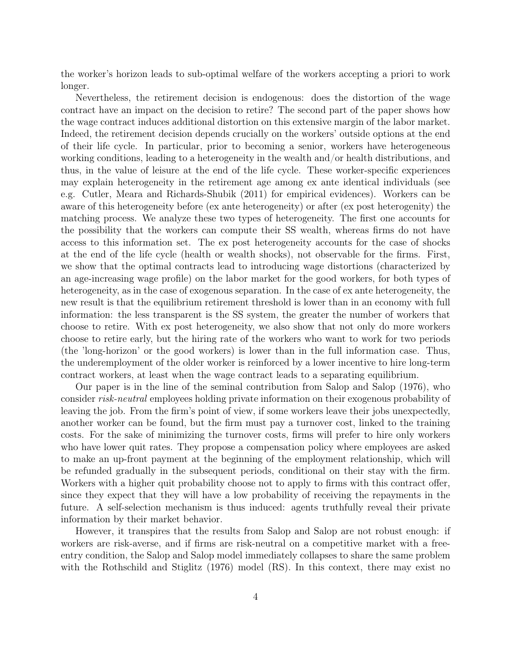the worker's horizon leads to sub-optimal welfare of the workers accepting a priori to work longer.

Nevertheless, the retirement decision is endogenous: does the distortion of the wage contract have an impact on the decision to retire? The second part of the paper shows how the wage contract induces additional distortion on this extensive margin of the labor market. Indeed, the retirement decision depends crucially on the workers' outside options at the end of their life cycle. In particular, prior to becoming a senior, workers have heterogeneous working conditions, leading to a heterogeneity in the wealth and/or health distributions, and thus, in the value of leisure at the end of the life cycle. These worker-specific experiences may explain heterogeneity in the retirement age among ex ante identical individuals (see e.g. Cutler, Meara and Richards-Shubik (2011) for empirical evidences). Workers can be aware of this heterogeneity before (ex ante heterogeneity) or after (ex post heterogenity) the matching process. We analyze these two types of heterogeneity. The first one accounts for the possibility that the workers can compute their SS wealth, whereas firms do not have access to this information set. The ex post heterogeneity accounts for the case of shocks at the end of the life cycle (health or wealth shocks), not observable for the firms. First, we show that the optimal contracts lead to introducing wage distortions (characterized by an age-increasing wage profile) on the labor market for the good workers, for both types of heterogeneity, as in the case of exogenous separation. In the case of ex ante heterogeneity, the new result is that the equilibrium retirement threshold is lower than in an economy with full information: the less transparent is the SS system, the greater the number of workers that choose to retire. With ex post heterogeneity, we also show that not only do more workers choose to retire early, but the hiring rate of the workers who want to work for two periods (the 'long-horizon' or the good workers) is lower than in the full information case. Thus, the underemployment of the older worker is reinforced by a lower incentive to hire long-term contract workers, at least when the wage contract leads to a separating equilibrium.

Our paper is in the line of the seminal contribution from Salop and Salop (1976), who consider risk-neutral employees holding private information on their exogenous probability of leaving the job. From the firm's point of view, if some workers leave their jobs unexpectedly, another worker can be found, but the firm must pay a turnover cost, linked to the training costs. For the sake of minimizing the turnover costs, firms will prefer to hire only workers who have lower quit rates. They propose a compensation policy where employees are asked to make an up-front payment at the beginning of the employment relationship, which will be refunded gradually in the subsequent periods, conditional on their stay with the firm. Workers with a higher quit probability choose not to apply to firms with this contract offer, since they expect that they will have a low probability of receiving the repayments in the future. A self-selection mechanism is thus induced: agents truthfully reveal their private information by their market behavior.

However, it transpires that the results from Salop and Salop are not robust enough: if workers are risk-averse, and if firms are risk-neutral on a competitive market with a freeentry condition, the Salop and Salop model immediately collapses to share the same problem with the Rothschild and Stiglitz (1976) model (RS). In this context, there may exist no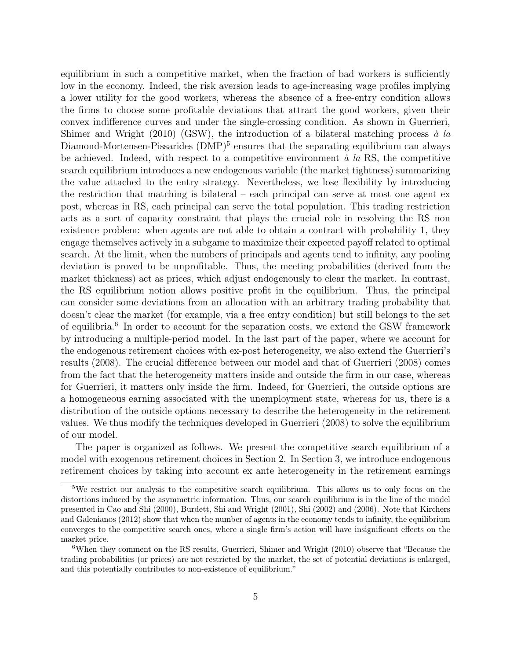equilibrium in such a competitive market, when the fraction of bad workers is sufficiently low in the economy. Indeed, the risk aversion leads to age-increasing wage profiles implying a lower utility for the good workers, whereas the absence of a free-entry condition allows the firms to choose some profitable deviations that attract the good workers, given their convex indifference curves and under the single-crossing condition. As shown in Guerrieri, Shimer and Wright (2010) (GSW), the introduction of a bilateral matching process  $\dot{a}$  la Diamond-Mortensen-Pissarides (DMP)<sup>5</sup> ensures that the separating equilibrium can always be achieved. Indeed, with respect to a competitive environment  $\dot{a}$  la RS, the competitive search equilibrium introduces a new endogenous variable (the market tightness) summarizing the value attached to the entry strategy. Nevertheless, we lose flexibility by introducing the restriction that matching is bilateral – each principal can serve at most one agent ex post, whereas in RS, each principal can serve the total population. This trading restriction acts as a sort of capacity constraint that plays the crucial role in resolving the RS non existence problem: when agents are not able to obtain a contract with probability 1, they engage themselves actively in a subgame to maximize their expected payoff related to optimal search. At the limit, when the numbers of principals and agents tend to infinity, any pooling deviation is proved to be unprofitable. Thus, the meeting probabilities (derived from the market thickness) act as prices, which adjust endogenously to clear the market. In contrast, the RS equilibrium notion allows positive profit in the equilibrium. Thus, the principal can consider some deviations from an allocation with an arbitrary trading probability that doesn't clear the market (for example, via a free entry condition) but still belongs to the set of equilibria.<sup>6</sup> In order to account for the separation costs, we extend the GSW framework by introducing a multiple-period model. In the last part of the paper, where we account for the endogenous retirement choices with ex-post heterogeneity, we also extend the Guerrieri's results (2008). The crucial difference between our model and that of Guerrieri (2008) comes from the fact that the heterogeneity matters inside and outside the firm in our case, whereas for Guerrieri, it matters only inside the firm. Indeed, for Guerrieri, the outside options are a homogeneous earning associated with the unemployment state, whereas for us, there is a distribution of the outside options necessary to describe the heterogeneity in the retirement values. We thus modify the techniques developed in Guerrieri (2008) to solve the equilibrium of our model.

The paper is organized as follows. We present the competitive search equilibrium of a model with exogenous retirement choices in Section 2. In Section 3, we introduce endogenous retirement choices by taking into account ex ante heterogeneity in the retirement earnings

<sup>&</sup>lt;sup>5</sup>We restrict our analysis to the competitive search equilibrium. This allows us to only focus on the distortions induced by the asymmetric information. Thus, our search equilibrium is in the line of the model presented in Cao and Shi (2000), Burdett, Shi and Wright (2001), Shi (2002) and (2006). Note that Kirchers and Galenianos (2012) show that when the number of agents in the economy tends to infinity, the equilibrium converges to the competitive search ones, where a single firm's action will have insignificant effects on the market price.

<sup>6</sup>When they comment on the RS results, Guerrieri, Shimer and Wright (2010) observe that "Because the trading probabilities (or prices) are not restricted by the market, the set of potential deviations is enlarged, and this potentially contributes to non-existence of equilibrium."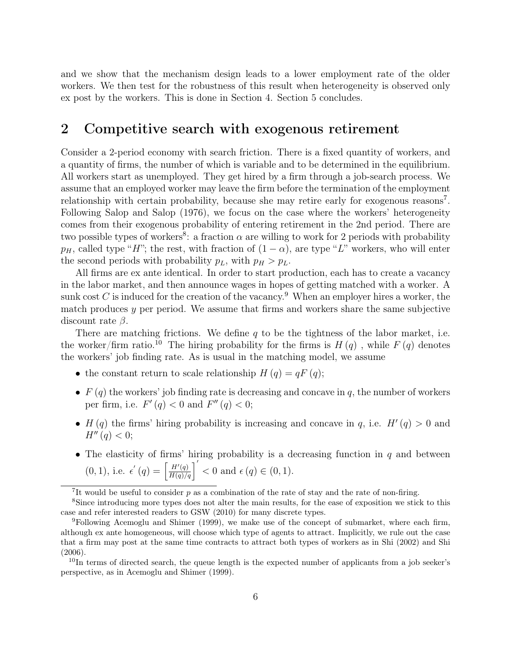and we show that the mechanism design leads to a lower employment rate of the older workers. We then test for the robustness of this result when heterogeneity is observed only ex post by the workers. This is done in Section 4. Section 5 concludes.

#### 2 Competitive search with exogenous retirement

Consider a 2-period economy with search friction. There is a fixed quantity of workers, and a quantity of firms, the number of which is variable and to be determined in the equilibrium. All workers start as unemployed. They get hired by a firm through a job-search process. We assume that an employed worker may leave the firm before the termination of the employment relationship with certain probability, because she may retire early for exogenous reasons<sup>7</sup>. Following Salop and Salop (1976), we focus on the case where the workers' heterogeneity comes from their exogenous probability of entering retirement in the 2nd period. There are two possible types of workers<sup>8</sup>: a fraction  $\alpha$  are willing to work for 2 periods with probability  $p_H$ , called type "H"; the rest, with fraction of  $(1 - \alpha)$ , are type "L" workers, who will enter the second periods with probability  $p_L$ , with  $p_H > p_L$ .

All firms are ex ante identical. In order to start production, each has to create a vacancy in the labor market, and then announce wages in hopes of getting matched with a worker. A sunk cost  $C$  is induced for the creation of the vacancy.<sup>9</sup> When an employer hires a worker, the match produces  $y$  per period. We assume that firms and workers share the same subjective discount rate  $\beta$ .

There are matching frictions. We define  $q$  to be the tightness of the labor market, i.e. the worker/firm ratio.<sup>10</sup> The hiring probability for the firms is  $H(q)$ , while  $F(q)$  denotes the workers' job finding rate. As is usual in the matching model, we assume

- the constant return to scale relationship  $H(q) = qF(q);$
- $F(q)$  the workers' job finding rate is decreasing and concave in q, the number of workers per firm, i.e.  $F'(q) < 0$  and  $F''(q) < 0$ ;
- $H(q)$  the firms' hiring probability is increasing and concave in q, i.e.  $H'(q) > 0$  and  $H''(q) < 0;$
- The elasticity of firms' hiring probability is a decreasing function in  $q$  and between  $(0, 1)$ , i.e.  $\epsilon'(q) = \left[\frac{H'(q)}{H(q)/q}\right]' < 0$  and  $\epsilon(q) \in (0, 1)$ .

<sup>&</sup>lt;sup>7</sup>It would be useful to consider  $p$  as a combination of the rate of stay and the rate of non-firing.

<sup>8</sup>Since introducing more types does not alter the main results, for the ease of exposition we stick to this case and refer interested readers to GSW (2010) for many discrete types.

<sup>&</sup>lt;sup>9</sup>Following Acemoglu and Shimer (1999), we make use of the concept of submarket, where each firm, although ex ante homogeneous, will choose which type of agents to attract. Implicitly, we rule out the case that a firm may post at the same time contracts to attract both types of workers as in Shi (2002) and Shi (2006).

<sup>&</sup>lt;sup>10</sup>In terms of directed search, the queue length is the expected number of applicants from a job seeker's perspective, as in Acemoglu and Shimer (1999).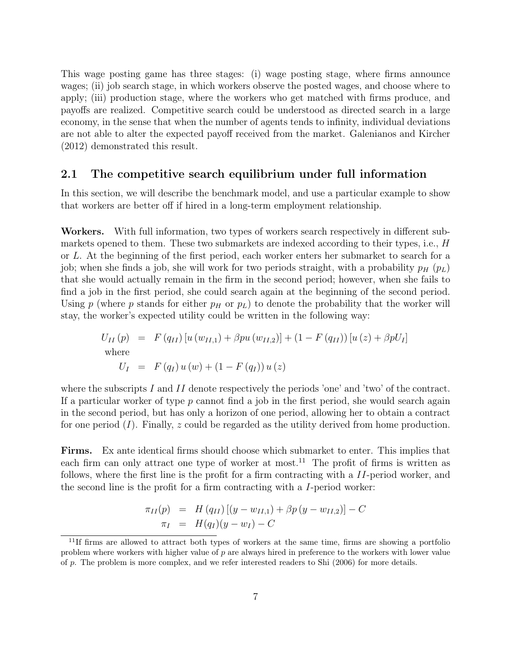This wage posting game has three stages: (i) wage posting stage, where firms announce wages; (ii) job search stage, in which workers observe the posted wages, and choose where to apply; (iii) production stage, where the workers who get matched with firms produce, and payoffs are realized. Competitive search could be understood as directed search in a large economy, in the sense that when the number of agents tends to infinity, individual deviations are not able to alter the expected payoff received from the market. Galenianos and Kircher (2012) demonstrated this result.

#### 2.1 The competitive search equilibrium under full information

In this section, we will describe the benchmark model, and use a particular example to show that workers are better off if hired in a long-term employment relationship.

Workers. With full information, two types of workers search respectively in different submarkets opened to them. These two submarkets are indexed according to their types, i.e., H or L. At the beginning of the first period, each worker enters her submarket to search for a job; when she finds a job, she will work for two periods straight, with a probability  $p_H$  ( $p_L$ ) that she would actually remain in the firm in the second period; however, when she fails to find a job in the first period, she could search again at the beginning of the second period. Using p (where p stands for either  $p_H$  or  $p_L$ ) to denote the probability that the worker will stay, the worker's expected utility could be written in the following way:

$$
U_{II}(p) = F(q_{II}) [u (w_{II,1}) + \beta pu (w_{II,2})] + (1 - F(q_{II})) [u (z) + \beta p U_I]
$$
  
where  

$$
U_I = F(q_I) u (w) + (1 - F(q_I)) u (z)
$$

where the subscripts I and II denote respectively the periods 'one' and 'two' of the contract. If a particular worker of type  $p$  cannot find a job in the first period, she would search again in the second period, but has only a horizon of one period, allowing her to obtain a contract for one period  $(I)$ . Finally, z could be regarded as the utility derived from home production.

Firms. Ex ante identical firms should choose which submarket to enter. This implies that each firm can only attract one type of worker at most.<sup>11</sup> The profit of firms is written as follows, where the first line is the profit for a firm contracting with a II-period worker, and the second line is the profit for a firm contracting with a I-period worker:

$$
\pi_{II}(p) = H(q_{II}) [(y - w_{II,1}) + \beta p (y - w_{II,2})] - C \n\pi_I = H(q_I)(y - w_I) - C
$$

<sup>&</sup>lt;sup>11</sup>If firms are allowed to attract both types of workers at the same time, firms are showing a portfolio problem where workers with higher value of p are always hired in preference to the workers with lower value of  $p$ . The problem is more complex, and we refer interested readers to Shi (2006) for more details.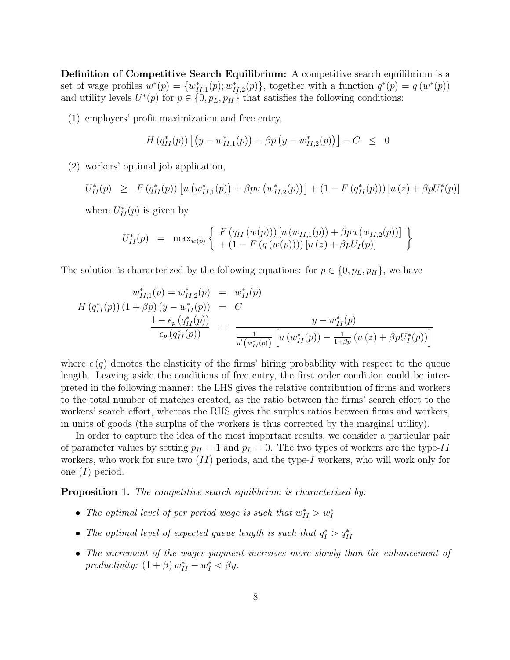Definition of Competitive Search Equilibrium: A competitive search equilibrium is a set of wage profiles  $w^*(p) = \{w_{II,1}^*(p); w_{II,2}^*(p)\}\$ , together with a function  $q^*(p) = q(w^*(p))$ and utility levels  $U^*(p)$  for  $p \in \{0, p_L, p_H\}$  that satisfies the following conditions:

(1) employers' profit maximization and free entry,

$$
H(q_{II}^*(p)) [(y-w_{II,1}^*(p)) + \beta p (y-w_{II,2}^*(p))] - C \leq 0
$$

(2) workers' optimal job application,

 $U_{II}^*(p) \geq F(q_{II}^*(p)) \left[ u \left( w_{II,1}^*(p) \right) + \beta p u \left( w_{II,2}^*(p) \right) \right] + (1 - F(q_{II}^*(p))) \left[ u \left( z \right) + \beta p U_I^*(p) \right]$ 

where  $U_{II}^*(p)$  is given by

$$
U_{II}^*(p) = \max_{w(p)} \left\{ F(q_{II}(w(p))) [u(w_{II,1}(p)) + \beta pu(w_{II,2}(p))] + (1 - F(q(w(p)))) [u(z) + \beta p U_I(p)] \right\}
$$

The solution is characterized by the following equations: for  $p \in \{0, p_L, p_H\}$ , we have

$$
w_{II,1}^{*}(p) = w_{II,2}^{*}(p) = w_{II}^{*}(p)
$$
  
\n
$$
H(q_{II}^{*}(p))(1 + \beta p)(y - w_{II}^{*}(p)) = C
$$
  
\n
$$
\frac{1 - \epsilon_p (q_{II}^{*}(p))}{\epsilon_p (q_{II}^{*}(p))} = \frac{y - w_{II}^{*}(p)}{\frac{1}{u'(w_{II}^{*}(p))} [u(w_{II}^{*}(p)) - \frac{1}{1 + \beta_p} (u(z) + \beta p U_{I}^{*}(p))]}
$$

where  $\epsilon(q)$  denotes the elasticity of the firms' hiring probability with respect to the queue length. Leaving aside the conditions of free entry, the first order condition could be interpreted in the following manner: the LHS gives the relative contribution of firms and workers to the total number of matches created, as the ratio between the firms' search effort to the workers' search effort, whereas the RHS gives the surplus ratios between firms and workers, in units of goods (the surplus of the workers is thus corrected by the marginal utility).

In order to capture the idea of the most important results, we consider a particular pair of parameter values by setting  $p_H = 1$  and  $p_L = 0$ . The two types of workers are the type-II workers, who work for sure two  $(II)$  periods, and the type-I workers, who will work only for one  $(I)$  period.

**Proposition 1.** The competitive search equilibrium is characterized by:

- The optimal level of per period wage is such that  $w_{II}^* > w_I^*$
- The optimal level of expected queue length is such that  $q_I^* > q_{II}^*$
- The increment of the wages payment increases more slowly than the enhancement of productivity:  $(1 + \beta) w_{II}^* - w_I^* < \beta y$ .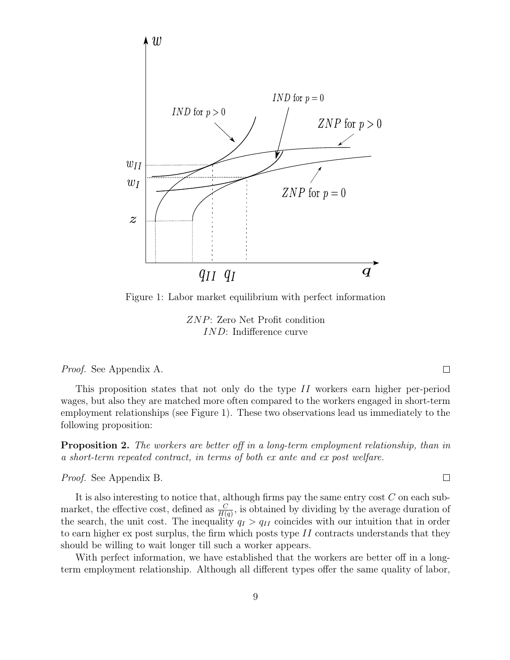

Figure 1: Labor market equilibrium with perfect information

ZNP: Zero Net Profit condition IND: Indifference curve

Proof. See Appendix A.

This proposition states that not only do the type II workers earn higher per-period wages, but also they are matched more often compared to the workers engaged in short-term employment relationships (see Figure 1). These two observations lead us immediately to the following proposition:

Proposition 2. The workers are better off in a long-term employment relationship, than in a short-term repeated contract, in terms of both ex ante and ex post welfare.

Proof. See Appendix B.

It is also interesting to notice that, although firms pay the same entry cost C on each submarket, the effective cost, defined as  $\frac{C}{H(q)}$ , is obtained by dividing by the average duration of the search, the unit cost. The inequality  $q_I > q_{II}$  coincides with our intuition that in order to earn higher ex post surplus, the firm which posts type  $II$  contracts understands that they should be willing to wait longer till such a worker appears.

With perfect information, we have established that the workers are better off in a longterm employment relationship. Although all different types offer the same quality of labor,

 $\Box$ 

 $\Box$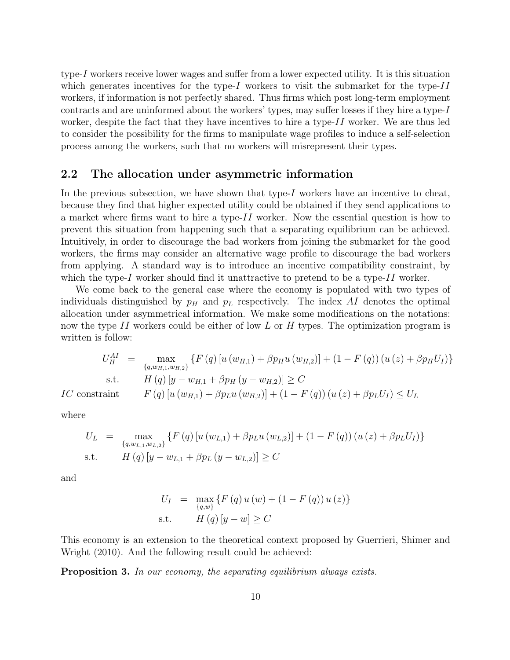type-I workers receive lower wages and suffer from a lower expected utility. It is this situation which generates incentives for the type-I workers to visit the submarket for the type-II workers, if information is not perfectly shared. Thus firms which post long-term employment contracts and are uninformed about the workers' types, may suffer losses if they hire a type-I worker, despite the fact that they have incentives to hire a type- $II$  worker. We are thus led to consider the possibility for the firms to manipulate wage profiles to induce a self-selection process among the workers, such that no workers will misrepresent their types.

#### 2.2 The allocation under asymmetric information

In the previous subsection, we have shown that type-I workers have an incentive to cheat, because they find that higher expected utility could be obtained if they send applications to a market where firms want to hire a type- $II$  worker. Now the essential question is how to prevent this situation from happening such that a separating equilibrium can be achieved. Intuitively, in order to discourage the bad workers from joining the submarket for the good workers, the firms may consider an alternative wage profile to discourage the bad workers from applying. A standard way is to introduce an incentive compatibility constraint, by which the type-I worker should find it unattractive to pretend to be a type-II worker.

We come back to the general case where the economy is populated with two types of individuals distinguished by  $p<sub>H</sub>$  and  $p<sub>L</sub>$  respectively. The index AI denotes the optimal allocation under asymmetrical information. We make some modifications on the notations: now the type II workers could be either of low L or H types. The optimization program is written is follow:

$$
U_{H}^{AI} = \max_{\{q, w_{H,1}, w_{H,2}\}} \{ F(q) [u(w_{H,1}) + \beta p_{H} u(w_{H,2})] + (1 - F(q)) (u(z) + \beta p_{H} U_{I}) \}
$$
  
s.t. 
$$
H(q) [y - w_{H,1} + \beta p_{H} (y - w_{H,2})] \ge C
$$
  
*IC* constraint 
$$
F(q) [u(w_{H,1}) + \beta p_{L} u(w_{H,2})] + (1 - F(q)) (u(z) + \beta p_{L} U_{I}) \le U_{L}
$$

where

$$
U_{L} = \max_{\{q, w_{L,1}, w_{L,2}\}} \{ F(q) [u(w_{L,1}) + \beta p_{L} u(w_{L,2})] + (1 - F(q)) (u(z) + \beta p_{L} U_{I}) \}
$$
  
s.t. 
$$
H(q) [y - w_{L,1} + \beta p_{L} (y - w_{L,2})] \geq C
$$

and

$$
U_{I} = \max_{\{q,w\}} \{ F(q) u(w) + (1 - F(q)) u(z) \}
$$
  
s.t. 
$$
H(q) [y - w] \ge C
$$

This economy is an extension to the theoretical context proposed by Guerrieri, Shimer and Wright (2010). And the following result could be achieved:

Proposition 3. In our economy, the separating equilibrium always exists.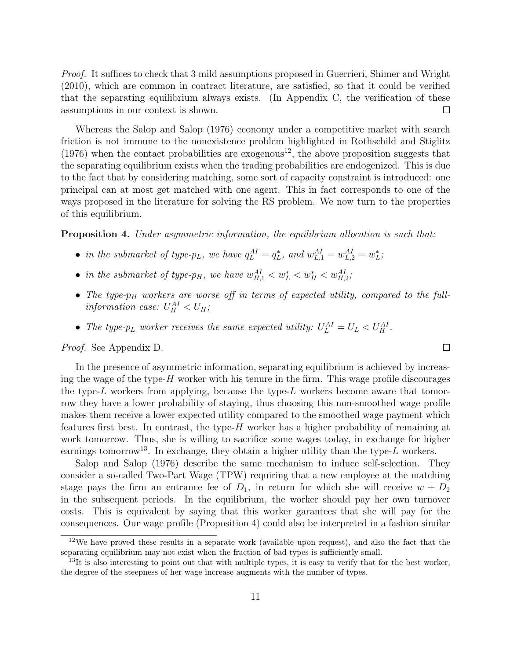Proof. It suffices to check that 3 mild assumptions proposed in Guerrieri, Shimer and Wright (2010), which are common in contract literature, are satisfied, so that it could be verified that the separating equilibrium always exists. (In Appendix C, the verification of these assumptions in our context is shown.  $\Box$ 

Whereas the Salop and Salop (1976) economy under a competitive market with search friction is not immune to the nonexistence problem highlighted in Rothschild and Stiglitz (1976) when the contact probabilities are exogenous<sup>12</sup>, the above proposition suggests that the separating equilibrium exists when the trading probabilities are endogenized. This is due to the fact that by considering matching, some sort of capacity constraint is introduced: one principal can at most get matched with one agent. This in fact corresponds to one of the ways proposed in the literature for solving the RS problem. We now turn to the properties of this equilibrium.

**Proposition 4.** Under asymmetric information, the equilibrium allocation is such that:

- in the submarket of type- $p_L$ , we have  $q_L^{AI} = q_L^*$ , and  $w_{L,1}^{AI} = w_{L,2}^{AI} = w_L^*$ ;
- in the submarket of type- $p_H$ , we have  $w_{H,1}^{AI} < w_L^* < w_H^* < w_{H,2}^{AI}$ ;
- The type- $p_H$  workers are worse off in terms of expected utility, compared to the fullinformation case:  $U_H^{AI} < U_H$ ;

 $\Box$ 

• The type- $p_L$  worker receives the same expected utility:  $U_L^{AI} = U_L < U_H^{AI}$ .

Proof. See Appendix D.

In the presence of asymmetric information, separating equilibrium is achieved by increasing the wage of the type- $H$  worker with his tenure in the firm. This wage profile discourages the type-L workers from applying, because the type-L workers become aware that tomorrow they have a lower probability of staying, thus choosing this non-smoothed wage profile makes them receive a lower expected utility compared to the smoothed wage payment which features first best. In contrast, the type- $H$  worker has a higher probability of remaining at work tomorrow. Thus, she is willing to sacrifice some wages today, in exchange for higher earnings tomorrow<sup>13</sup>. In exchange, they obtain a higher utility than the type-L workers.

Salop and Salop (1976) describe the same mechanism to induce self-selection. They consider a so-called Two-Part Wage (TPW) requiring that a new employee at the matching stage pays the firm an entrance fee of  $D_1$ , in return for which she will receive  $w + D_2$ in the subsequent periods. In the equilibrium, the worker should pay her own turnover costs. This is equivalent by saying that this worker garantees that she will pay for the consequences. Our wage profile (Proposition 4) could also be interpreted in a fashion similar

<sup>12</sup>We have proved these results in a separate work (available upon request), and also the fact that the separating equilibrium may not exist when the fraction of bad types is sufficiently small.

 $13$ It is also interesting to point out that with multiple types, it is easy to verify that for the best worker, the degree of the steepness of her wage increase augments with the number of types.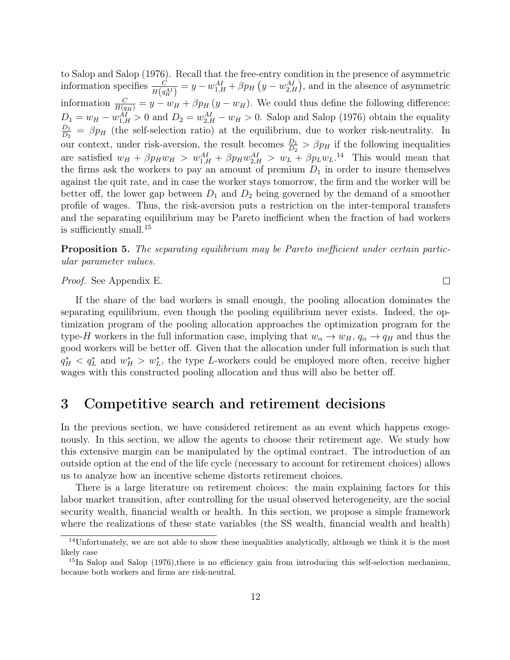to Salop and Salop (1976). Recall that the free-entry condition in the presence of asymmetric information specifies  $\frac{C}{H(q_H^{AI})} = y - w_{1,H}^{AI} + \beta p_H (y - w_{2,H}^{AI})$ , and in the absence of asymmetric information  $\frac{C}{H(q_H)} = y - w_H + \beta p_H (y - w_H)$ . We could thus define the following difference:  $D_1 = w_H - w_{1,H}^{AI} > 0$  and  $D_2 = w_{2,H}^{AI} - w_H > 0$ . Salop and Salop (1976) obtain the equality  $D_1$  $\frac{D_1}{D_2} = \beta p_H$  (the self-selection ratio) at the equilibrium, due to worker risk-neutrality. In our context, under risk-aversion, the result becomes  $\frac{D_1}{D_2}$  >  $\beta p_H$  if the following inequalities are satisfied  $w_H + \beta p_H w_H > w_{1,H}^{AI} + \beta p_H w_{2,H}^{AI} > w_L + \beta p_L w_L^{I}^{II}$  This would mean that the firms ask the workers to pay an amount of premium  $D_1$  in order to insure themselves against the quit rate, and in case the worker stays tomorrow, the firm and the worker will be better off, the lower gap between  $D_1$  and  $D_2$  being governed by the demand of a smoother profile of wages. Thus, the risk-aversion puts a restriction on the inter-temporal transfers and the separating equilibrium may be Pareto inefficient when the fraction of bad workers is sufficiently small.<sup>15</sup>

Proposition 5. The separating equilibrium may be Pareto inefficient under certain particular parameter values.

Proof. See Appendix E.

If the share of the bad workers is small enough, the pooling allocation dominates the separating equilibrium, even though the pooling equilibrium never exists. Indeed, the optimization program of the pooling allocation approaches the optimization program for the type-H workers in the full information case, implying that  $w_{\alpha} \to w_H$ ,  $q_{\alpha} \to q_H$  and thus the good workers will be better off. Given that the allocation under full information is such that  $q_H^*$  <  $q_L^*$  and  $w_H^*$  >  $w_L^*$ , the type L-workers could be employed more often, receive higher wages with this constructed pooling allocation and thus will also be better off.

#### 3 Competitive search and retirement decisions

In the previous section, we have considered retirement as an event which happens exogenously. In this section, we allow the agents to choose their retirement age. We study how this extensive margin can be manipulated by the optimal contract. The introduction of an outside option at the end of the life cycle (necessary to account for retirement choices) allows us to analyze how an incentive scheme distorts retirement choices.

There is a large literature on retirement choices: the main explaining factors for this labor market transition, after controlling for the usual observed heterogeneity, are the social security wealth, financial wealth or health. In this section, we propose a simple framework where the realizations of these state variables (the SS wealth, financial wealth and health)

 $\Box$ 

<sup>&</sup>lt;sup>14</sup>Unfortunately, we are not able to show these inequalities analytically, although we think it is the most likely case

<sup>&</sup>lt;sup>15</sup>In Salop and Salop (1976), there is no efficiency gain from introducing this self-selection mechanism, because both workers and firms are risk-neutral.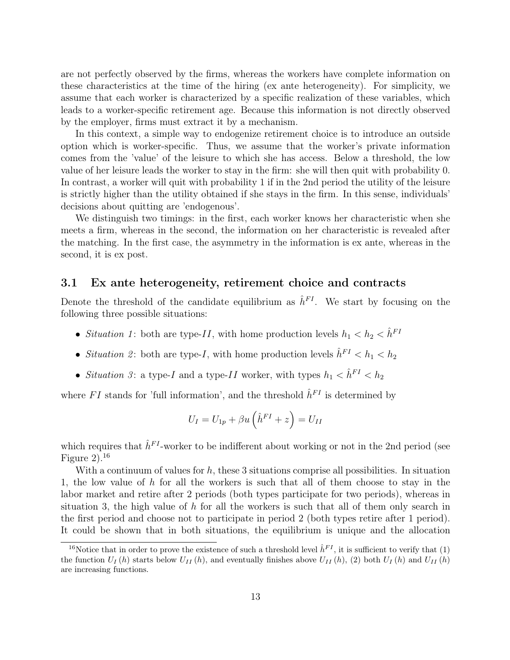are not perfectly observed by the firms, whereas the workers have complete information on these characteristics at the time of the hiring (ex ante heterogeneity). For simplicity, we assume that each worker is characterized by a specific realization of these variables, which leads to a worker-specific retirement age. Because this information is not directly observed by the employer, firms must extract it by a mechanism.

In this context, a simple way to endogenize retirement choice is to introduce an outside option which is worker-specific. Thus, we assume that the worker's private information comes from the 'value' of the leisure to which she has access. Below a threshold, the low value of her leisure leads the worker to stay in the firm: she will then quit with probability 0. In contrast, a worker will quit with probability 1 if in the 2nd period the utility of the leisure is strictly higher than the utility obtained if she stays in the firm. In this sense, individuals' decisions about quitting are 'endogenous'.

We distinguish two timings: in the first, each worker knows her characteristic when she meets a firm, whereas in the second, the information on her characteristic is revealed after the matching. In the first case, the asymmetry in the information is ex ante, whereas in the second, it is ex post.

#### 3.1 Ex ante heterogeneity, retirement choice and contracts

Denote the threshold of the candidate equilibrium as  $\hat{h}^{FI}$ . We start by focusing on the following three possible situations:

- Situation 1: both are type-II, with home production levels  $h_1 < h_2 < \hat{h}^{FI}$
- Situation 2: both are type-I, with home production levels  $\hat{h}^{FI} < h_1 < h_2$
- Situation 3: a type-I and a type-II worker, with types  $h_1 < \hat{h}^{FI} < h_2$

where FI stands for 'full information', and the threshold  $\hat{h}^{FI}$  is determined by

$$
U_I = U_{1p} + \beta u \left(\hat{h}^{FI} + z\right) = U_{II}
$$

which requires that  $\hat{h}^{FI}$ -worker to be indifferent about working or not in the 2nd period (see Figure 2).<sup>16</sup>

With a continuum of values for  $h$ , these 3 situations comprise all possibilities. In situation 1, the low value of  $h$  for all the workers is such that all of them choose to stay in the labor market and retire after 2 periods (both types participate for two periods), whereas in situation 3, the high value of h for all the workers is such that all of them only search in the first period and choose not to participate in period 2 (both types retire after 1 period). It could be shown that in both situations, the equilibrium is unique and the allocation

<sup>&</sup>lt;sup>16</sup>Notice that in order to prove the existence of such a threshold level  $\hat{h}^{FI}$ , it is sufficient to verify that (1) the function  $U_I(h)$  starts below  $U_{II}(h)$ , and eventually finishes above  $U_{II}(h)$ , (2) both  $U_I(h)$  and  $U_{II}(h)$ are increasing functions.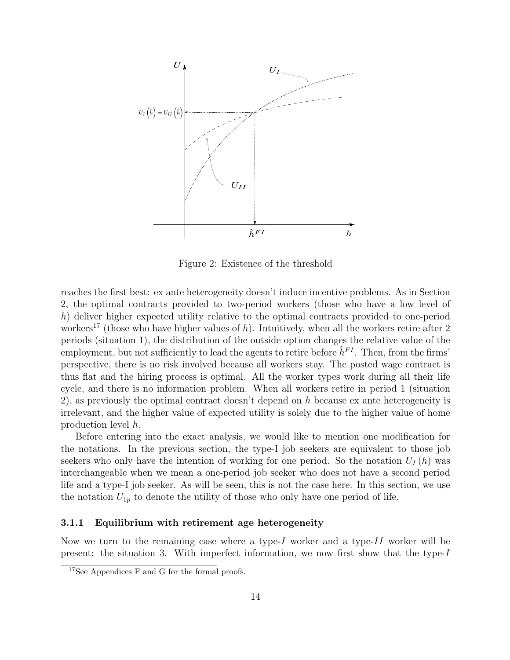

Figure 2: Existence of the threshold

reaches the first best: ex ante heterogeneity doesn't induce incentive problems. As in Section 2, the optimal contracts provided to two-period workers (those who have a low level of h) deliver higher expected utility relative to the optimal contracts provided to one-period workers<sup>17</sup> (those who have higher values of h). Intuitively, when all the workers retire after 2 periods (situation 1), the distribution of the outside option changes the relative value of the employment, but not sufficiently to lead the agents to retire before  $\hat{h}^{FI}$ . Then, from the firms' perspective, there is no risk involved because all workers stay. The posted wage contract is thus flat and the hiring process is optimal. All the worker types work during all their life cycle, and there is no information problem. When all workers retire in period 1 (situation 2), as previously the optimal contract doesn't depend on h because ex ante heterogeneity is irrelevant, and the higher value of expected utility is solely due to the higher value of home production level h.

Before entering into the exact analysis, we would like to mention one modification for the notations. In the previous section, the type-I job seekers are equivalent to those job seekers who only have the intention of working for one period. So the notation  $U_I(h)$  was interchangeable when we mean a one-period job seeker who does not have a second period life and a type-I job seeker. As will be seen, this is not the case here. In this section, we use the notation  $U_{1p}$  to denote the utility of those who only have one period of life.

#### 3.1.1 Equilibrium with retirement age heterogeneity

Now we turn to the remaining case where a type- $I$  worker and a type- $II$  worker will be present: the situation 3. With imperfect information, we now first show that the type-I

<sup>&</sup>lt;sup>17</sup>See Appendices F and G for the formal proofs.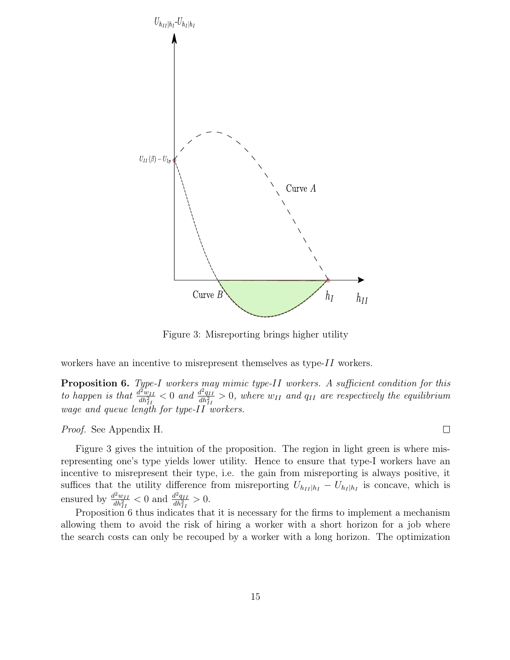

Figure 3: Misreporting brings higher utility

workers have an incentive to misrepresent themselves as type- $II$  workers.

**Proposition 6.** Type-I workers may mimic type-II workers. A sufficient condition for this to happen is that  $\frac{d^2w_{II}}{dt^2}$  $\frac{d^2 w_{II}}{dh^2_{II}} < 0$  and  $\frac{d^2 q_{II}}{dh^2_{II}}$  $\frac{d^2 q_{II}}{dh_{II}^2} > 0$ , where  $w_{II}$  and  $q_{II}$  are respectively the equilibrium wage and queue length for type-II workers.

Proof. See Appendix H.

Figure 3 gives the intuition of the proposition. The region in light green is where misrepresenting one's type yields lower utility. Hence to ensure that type-I workers have an incentive to misrepresent their type, i.e. the gain from misreporting is always positive, it suffices that the utility difference from misreporting  $U_{h_{II}|h_I} - U_{h_I|h_I}$  is concave, which is ensured by  $\frac{d^2w_{II}}{db^2}$  $\frac{d^2 w_{II}}{dh_{II}^2}$  < 0 and  $\frac{d^2 q_{II}}{dh_{II}^2}$  $\frac{d^2q_{II}}{dh_{II}^2}>0.$ 

Proposition 6 thus indicates that it is necessary for the firms to implement a mechanism allowing them to avoid the risk of hiring a worker with a short horizon for a job where the search costs can only be recouped by a worker with a long horizon. The optimization

 $\Box$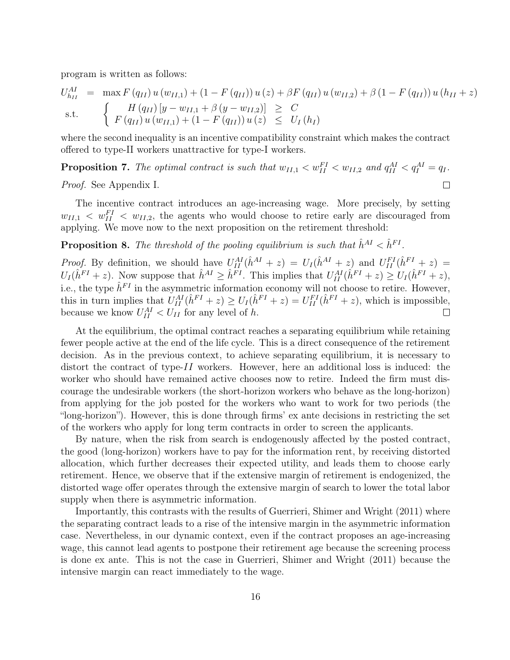program is written as follows:

$$
U_{h_{II}}^{AI} = \max F(q_{II}) u(w_{II,1}) + (1 - F(q_{II})) u(z) + \beta F(q_{II}) u(w_{II,2}) + \beta (1 - F(q_{II})) u(h_{II} + z)
$$
  
s.t. 
$$
\begin{cases} H(q_{II}) [y - w_{II,1} + \beta (y - w_{II,2})] \geq C \\ F(q_{II}) u(w_{II,1}) + (1 - F(q_{II})) u(z) \leq U_I(h_I) \end{cases}
$$

where the second inequality is an incentive compatibility constraint which makes the contract offered to type-II workers unattractive for type-I workers.

**Proposition 7.** The optimal contract is such that  $w_{II,1} < w_{II}^{FI} < w_{II,2}$  and  $q_{II}^{AI} < q_I^{AI} = q_I$ .

 $\Box$ 

Proof. See Appendix I.

The incentive contract introduces an age-increasing wage. More precisely, by setting  $w_{II,1} < w_{II}^{FI} < w_{II,2}$ , the agents who would choose to retire early are discouraged from applying. We move now to the next proposition on the retirement threshold:

**Proposition 8.** The threshold of the pooling equilibrium is such that  $\hat{h}^{AI} < \hat{h}^{FI}$ .

*Proof.* By definition, we should have  $U_{II}^{AI}(\hat{h}^{AI} + z) = U_I(\hat{h}^{AI} + z)$  and  $U_{II}^{FI}(\hat{h}^{FI} + z) =$  $U_I(\hat{h}^{FI}+z)$ . Now suppose that  $\hat{h}^{AI} \geq \hat{h}^{FI}$ . This implies that  $U_{II}^{AI}(\hat{h}^{FI}+z) \geq U_I(\hat{h}^{FI}+z)$ , i.e., the type  $\hat{h}^{FI}$  in the asymmetric information economy will not choose to retire. However, this in turn implies that  $U_{II}^{AI}(\hat{h}^{FI}+z) \ge U_I(\hat{h}^{FI}+z) = U_{II}^{FI}(\hat{h}^{FI}+z)$ , which is impossible, because we know  $U_{II}^{AI} < U_{II}$  for any level of h.  $\Box$ 

At the equilibrium, the optimal contract reaches a separating equilibrium while retaining fewer people active at the end of the life cycle. This is a direct consequence of the retirement decision. As in the previous context, to achieve separating equilibrium, it is necessary to distort the contract of type- $II$  workers. However, here an additional loss is induced: the worker who should have remained active chooses now to retire. Indeed the firm must discourage the undesirable workers (the short-horizon workers who behave as the long-horizon) from applying for the job posted for the workers who want to work for two periods (the "long-horizon"). However, this is done through firms' ex ante decisions in restricting the set of the workers who apply for long term contracts in order to screen the applicants.

By nature, when the risk from search is endogenously affected by the posted contract, the good (long-horizon) workers have to pay for the information rent, by receiving distorted allocation, which further decreases their expected utility, and leads them to choose early retirement. Hence, we observe that if the extensive margin of retirement is endogenized, the distorted wage offer operates through the extensive margin of search to lower the total labor supply when there is asymmetric information.

Importantly, this contrasts with the results of Guerrieri, Shimer and Wright (2011) where the separating contract leads to a rise of the intensive margin in the asymmetric information case. Nevertheless, in our dynamic context, even if the contract proposes an age-increasing wage, this cannot lead agents to postpone their retirement age because the screening process is done ex ante. This is not the case in Guerrieri, Shimer and Wright (2011) because the intensive margin can react immediately to the wage.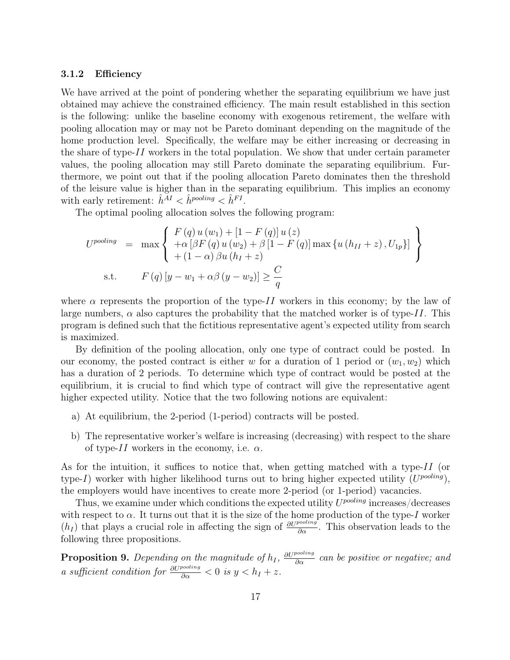#### 3.1.2 Efficiency

We have arrived at the point of pondering whether the separating equilibrium we have just obtained may achieve the constrained efficiency. The main result established in this section is the following: unlike the baseline economy with exogenous retirement, the welfare with pooling allocation may or may not be Pareto dominant depending on the magnitude of the home production level. Specifically, the welfare may be either increasing or decreasing in the share of type- $II$  workers in the total population. We show that under certain parameter values, the pooling allocation may still Pareto dominate the separating equilibrium. Furthermore, we point out that if the pooling allocation Pareto dominates then the threshold of the leisure value is higher than in the separating equilibrium. This implies an economy with early retirement:  $\hat{h}^{\tilde{A}I} < \hat{h}^{pooling} < \hat{h}^{FI}$ .

The optimal pooling allocation solves the following program:

$$
U^{pooling} = \max \left\{ \begin{array}{l} F(q) u (w_1) + [1 - F(q)] u (z) \\ + \alpha [\beta F(q) u (w_2) + \beta [1 - F(q)] \max \{ u (h_{II} + z), U_{1p} \}] \\ + (1 - \alpha) \beta u (h_I + z) \end{array} \right\}
$$
  
s.t. 
$$
F(q) [y - w_1 + \alpha \beta (y - w_2)] \ge \frac{C}{q}
$$

where  $\alpha$  represents the proportion of the type-II workers in this economy; by the law of large numbers,  $\alpha$  also captures the probability that the matched worker is of type-II. This program is defined such that the fictitious representative agent's expected utility from search is maximized.

By definition of the pooling allocation, only one type of contract could be posted. In our economy, the posted contract is either w for a duration of 1 period or  $(w_1, w_2)$  which has a duration of 2 periods. To determine which type of contract would be posted at the equilibrium, it is crucial to find which type of contract will give the representative agent higher expected utility. Notice that the two following notions are equivalent:

- a) At equilibrium, the 2-period (1-period) contracts will be posted.
- b) The representative worker's welfare is increasing (decreasing) with respect to the share of type-II workers in the economy, i.e.  $\alpha$ .

As for the intuition, it suffices to notice that, when getting matched with a type-II (or type-I) worker with higher likelihood turns out to bring higher expected utility  $(U^{pooling})$ , the employers would have incentives to create more 2-period (or 1-period) vacancies.

Thus, we examine under which conditions the expected utility  $U^{pooling}$  increases/decreases with respect to  $\alpha$ . It turns out that it is the size of the home production of the type-I worker  $(h_I)$  that plays a crucial role in affecting the sign of  $\frac{\partial U^{pooling}}{\partial \alpha}$ . This observation leads to the following three propositions.

**Proposition 9.** Depending on the magnitude of  $h_I$ ,  $\frac{\partial U^{pooling}}{\partial \alpha}$  can be positive or negative; and a sufficient condition for  $\frac{\partial U^{pooling}}{\partial \alpha} < 0$  is  $y < h_I + z$ .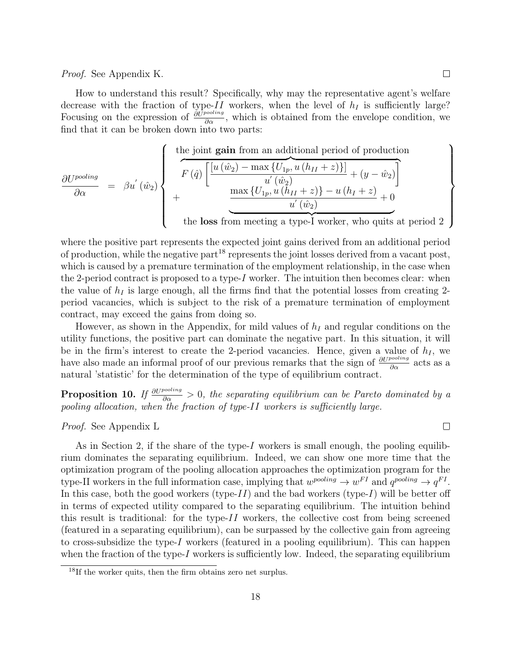#### Proof. See Appendix K.

How to understand this result? Specifically, why may the representative agent's welfare decrease with the fraction of type- $II$  workers, when the level of  $h_I$  is sufficiently large? Focusing on the expression of  $\frac{\partial U^{pooling}}{\partial \alpha}$ , which is obtained from the envelope condition, we find that it can be broken down into two parts:

$$
\frac{\partial U^{pooling}}{\partial \alpha} = \beta u^{'}(\hat{w}_2)
$$
\n
$$
+ \frac{\partial U^{pooling}}{\partial \alpha} = \beta u^{'}(\hat{w}_2)
$$
\n
$$
+ \frac{\frac{\partial U^{pooling}}{\partial \alpha} \left\{\n \begin{aligned}\n &\text{if } \left[\frac{[u(\hat{w}_2) - \max\{U_{1p}, u(h_{II} + z)\}]}{u^{'}(\hat{w}_2)} + (y - \hat{w}_2)\right]}{u^{'}(\hat{w}_2)}\n \end{aligned}\n \right\}\n \text{the loss from meeting a type-I worker, who quits at period 2}
$$

where the positive part represents the expected joint gains derived from an additional period of production, while the negative part<sup>18</sup> represents the joint losses derived from a vacant post, which is caused by a premature termination of the employment relationship, in the case when the 2-period contract is proposed to a type- $I$  worker. The intuition then becomes clear: when the value of  $h_I$  is large enough, all the firms find that the potential losses from creating 2period vacancies, which is subject to the risk of a premature termination of employment contract, may exceed the gains from doing so.

However, as shown in the Appendix, for mild values of  $h_I$  and regular conditions on the utility functions, the positive part can dominate the negative part. In this situation, it will be in the firm's interest to create the 2-period vacancies. Hence, given a value of  $h_I$ , we have also made an informal proof of our previous remarks that the sign of  $\frac{\partial U^{pooling}}{\partial \alpha}$  acts as a natural 'statistic' for the determination of the type of equilibrium contract.

**Proposition 10.** If  $\frac{\partial U^{pooling}}{\partial \alpha} > 0$ , the separating equilibrium can be Pareto dominated by a pooling allocation, when the fraction of type-II workers is sufficiently large.

Proof. See Appendix L

 $\Box$ 

As in Section 2, if the share of the type-I workers is small enough, the pooling equilibrium dominates the separating equilibrium. Indeed, we can show one more time that the optimization program of the pooling allocation approaches the optimization program for the type-II workers in the full information case, implying that  $w^{pooling} \to w^{FI}$  and  $q^{pooling} \to q^{FI}$ . In this case, both the good workers (type- $II$ ) and the bad workers (type- $I$ ) will be better off in terms of expected utility compared to the separating equilibrium. The intuition behind this result is traditional: for the type- $II$  workers, the collective cost from being screened (featured in a separating equilibrium), can be surpassed by the collective gain from agreeing to cross-subsidize the type-I workers (featured in a pooling equilibrium). This can happen when the fraction of the type- $I$  workers is sufficiently low. Indeed, the separating equilibrium

<sup>18</sup>If the worker quits, then the firm obtains zero net surplus.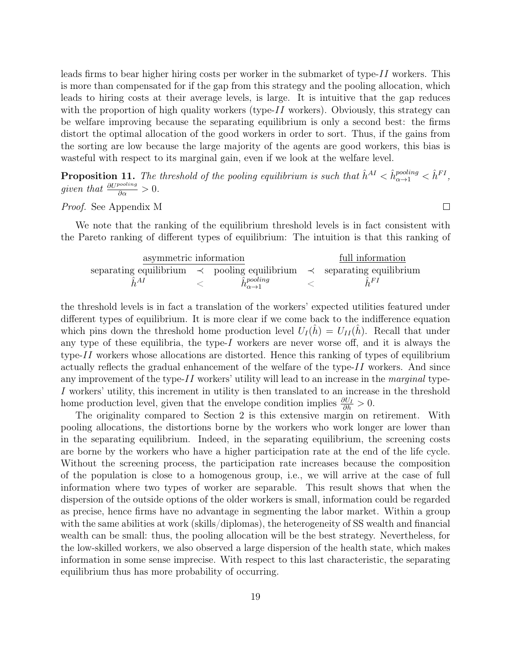leads firms to bear higher hiring costs per worker in the submarket of type-II workers. This is more than compensated for if the gap from this strategy and the pooling allocation, which leads to hiring costs at their average levels, is large. It is intuitive that the gap reduces with the proportion of high quality workers (type- $II$  workers). Obviously, this strategy can be welfare improving because the separating equilibrium is only a second best: the firms distort the optimal allocation of the good workers in order to sort. Thus, if the gains from the sorting are low because the large majority of the agents are good workers, this bias is wasteful with respect to its marginal gain, even if we look at the welfare level.

**Proposition 11.** The threshold of the pooling equilibrium is such that  $\hat{h}^{AI} < \hat{h}^{pooling}_{\alpha \to 1} < \hat{h}^{FI}$ , given that  $\frac{\partial U^{pooling}}{\partial \alpha} > 0$ .

Proof. See Appendix M

We note that the ranking of the equilibrium threshold levels is in fact consistent with the Pareto ranking of different types of equilibrium: The intuition is that this ranking of

| asymmetric information                                                            |  |                                            | full information |             |
|-----------------------------------------------------------------------------------|--|--------------------------------------------|------------------|-------------|
| separating equilibrium $\prec$ pooling equilibrium $\prec$ separating equilibrium |  |                                            |                  |             |
| $h^{AI}$                                                                          |  | $\hat{h}^{pooling}_{\alpha \rightarrow 1}$ |                  | $\hat{h}FI$ |

the threshold levels is in fact a translation of the workers' expected utilities featured under different types of equilibrium. It is more clear if we come back to the indifference equation which pins down the threshold home production level  $U_I(h) = U_{II}(h)$ . Recall that under any type of these equilibria, the type- $I$  workers are never worse off, and it is always the type-II workers whose allocations are distorted. Hence this ranking of types of equilibrium actually reflects the gradual enhancement of the welfare of the type- $II$  workers. And since any improvement of the type- $II$  workers' utility will lead to an increase in the *marginal* type-I workers' utility, this increment in utility is then translated to an increase in the threshold home production level, given that the envelope condition implies  $\frac{\partial U_I}{\partial h} > 0$ .

The originality compared to Section 2 is this extensive margin on retirement. With pooling allocations, the distortions borne by the workers who work longer are lower than in the separating equilibrium. Indeed, in the separating equilibrium, the screening costs are borne by the workers who have a higher participation rate at the end of the life cycle. Without the screening process, the participation rate increases because the composition of the population is close to a homogenous group, i.e., we will arrive at the case of full information where two types of worker are separable. This result shows that when the dispersion of the outside options of the older workers is small, information could be regarded as precise, hence firms have no advantage in segmenting the labor market. Within a group with the same abilities at work (skills/diplomas), the heterogeneity of SS wealth and financial wealth can be small: thus, the pooling allocation will be the best strategy. Nevertheless, for the low-skilled workers, we also observed a large dispersion of the health state, which makes information in some sense imprecise. With respect to this last characteristic, the separating equilibrium thus has more probability of occurring.

 $\Box$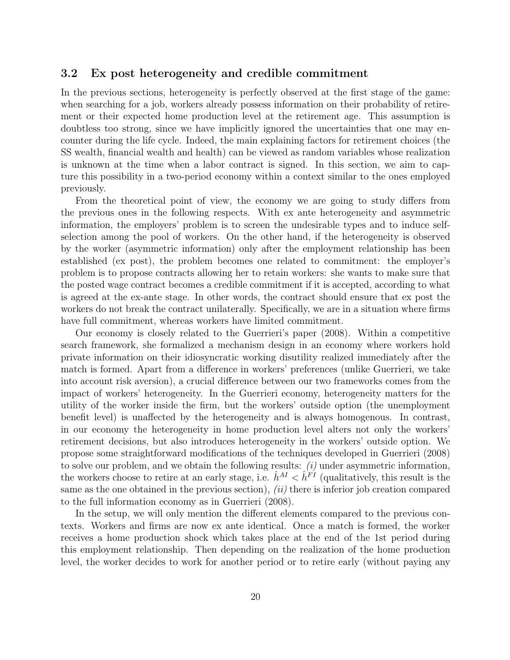#### 3.2 Ex post heterogeneity and credible commitment

In the previous sections, heterogeneity is perfectly observed at the first stage of the game: when searching for a job, workers already possess information on their probability of retirement or their expected home production level at the retirement age. This assumption is doubtless too strong, since we have implicitly ignored the uncertainties that one may encounter during the life cycle. Indeed, the main explaining factors for retirement choices (the SS wealth, financial wealth and health) can be viewed as random variables whose realization is unknown at the time when a labor contract is signed. In this section, we aim to capture this possibility in a two-period economy within a context similar to the ones employed previously.

From the theoretical point of view, the economy we are going to study differs from the previous ones in the following respects. With ex ante heterogeneity and asymmetric information, the employers' problem is to screen the undesirable types and to induce selfselection among the pool of workers. On the other hand, if the heterogeneity is observed by the worker (asymmetric information) only after the employment relationship has been established (ex post), the problem becomes one related to commitment: the employer's problem is to propose contracts allowing her to retain workers: she wants to make sure that the posted wage contract becomes a credible commitment if it is accepted, according to what is agreed at the ex-ante stage. In other words, the contract should ensure that ex post the workers do not break the contract unilaterally. Specifically, we are in a situation where firms have full commitment, whereas workers have limited commitment.

Our economy is closely related to the Guerrieri's paper (2008). Within a competitive search framework, she formalized a mechanism design in an economy where workers hold private information on their idiosyncratic working disutility realized immediately after the match is formed. Apart from a difference in workers' preferences (unlike Guerrieri, we take into account risk aversion), a crucial difference between our two frameworks comes from the impact of workers' heterogeneity. In the Guerrieri economy, heterogeneity matters for the utility of the worker inside the firm, but the workers' outside option (the unemployment benefit level) is unaffected by the heterogeneity and is always homogenous. In contrast, in our economy the heterogeneity in home production level alters not only the workers' retirement decisions, but also introduces heterogeneity in the workers' outside option. We propose some straightforward modifications of the techniques developed in Guerrieri (2008) to solve our problem, and we obtain the following results:  $(i)$  under asymmetric information, the workers choose to retire at an early stage, i.e.  $\hat{h}^{AI} < \hat{h}^{FI}$  (qualitatively, this result is the same as the one obtained in the previous section),  $(ii)$  there is inferior job creation compared to the full information economy as in Guerrieri (2008).

In the setup, we will only mention the different elements compared to the previous contexts. Workers and firms are now ex ante identical. Once a match is formed, the worker receives a home production shock which takes place at the end of the 1st period during this employment relationship. Then depending on the realization of the home production level, the worker decides to work for another period or to retire early (without paying any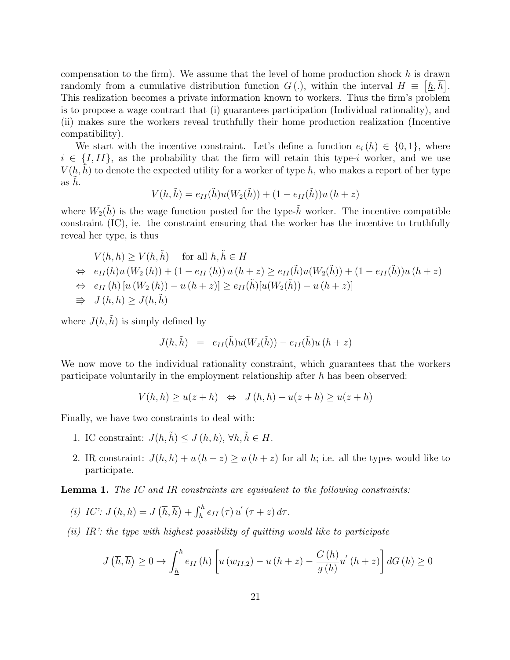compensation to the firm). We assume that the level of home production shock  $h$  is drawn randomly from a cumulative distribution function  $G(.)$ , within the interval  $H \equiv \left[ \underline{h}, \overline{h} \right]$ . This realization becomes a private information known to workers. Thus the firm's problem is to propose a wage contract that (i) guarantees participation (Individual rationality), and (ii) makes sure the workers reveal truthfully their home production realization (Incentive compatibility).

We start with the incentive constraint. Let's define a function  $e_i(h) \in \{0,1\}$ , where  $i \in \{I,II\}$ , as the probability that the firm will retain this type-i worker, and we use  $V(h, h)$  to denote the expected utility for a worker of type h, who makes a report of her type as  $h$ .

$$
V(h, \tilde{h}) = e_{II}(\tilde{h})u(W_2(\tilde{h})) + (1 - e_{II}(\tilde{h}))u(h + z)
$$

where  $W_2(\tilde{h})$  is the wage function posted for the type- $\tilde{h}$  worker. The incentive compatible constraint (IC), ie. the constraint ensuring that the worker has the incentive to truthfully reveal her type, is thus

$$
V(h, h) \ge V(h, \tilde{h}) \quad \text{for all } h, \tilde{h} \in H
$$
  
\n
$$
\Leftrightarrow e_{II}(h)u(W_2(h)) + (1 - e_{II}(h))u(h+z) \ge e_{II}(\tilde{h})u(W_2(\tilde{h})) + (1 - e_{II}(\tilde{h}))u(h+z)
$$
  
\n
$$
\Leftrightarrow e_{II}(h)[u(W_2(h)) - u(h+z)] \ge e_{II}(\tilde{h})[u(W_2(\tilde{h})) - u(h+z)]
$$
  
\n
$$
\Rightarrow J(h, h) \ge J(h, \tilde{h})
$$

where  $J(h, \tilde{h})$  is simply defined by

$$
J(h,\tilde{h}) = e_{II}(\tilde{h})u(W_2(\tilde{h})) - e_{II}(\tilde{h})u(h+z)
$$

We now move to the individual rationality constraint, which guarantees that the workers participate voluntarily in the employment relationship after  $h$  has been observed:

$$
V(h, h) \ge u(z + h) \iff J(h, h) + u(z + h) \ge u(z + h)
$$

Finally, we have two constraints to deal with:

- 1. IC constraint:  $J(h, \tilde{h}) \leq J(h, h), \forall h, \tilde{h} \in H$ .
- 2. IR constraint:  $J(h, h) + u(h + z) \ge u(h + z)$  for all h; i.e. all the types would like to participate.

Lemma 1. The IC and IR constraints are equivalent to the following constraints:

(i) IC': 
$$
J(h, h) = J(\overline{h}, \overline{h}) + \int_{h}^{\overline{h}} e_{II}(\tau) u'(\tau + z) d\tau
$$
.

(ii) IR': the type with highest possibility of quitting would like to participate

$$
J\left(\overline{h},\overline{h}\right) \ge 0 \to \int_{\underline{h}}^{\overline{h}} e_{II}\left(h\right) \left[u\left(w_{II,2}\right) - u\left(h+z\right) - \frac{G\left(h\right)}{g\left(h\right)} u'\left(h+z\right)\right] dG\left(h\right) \ge 0
$$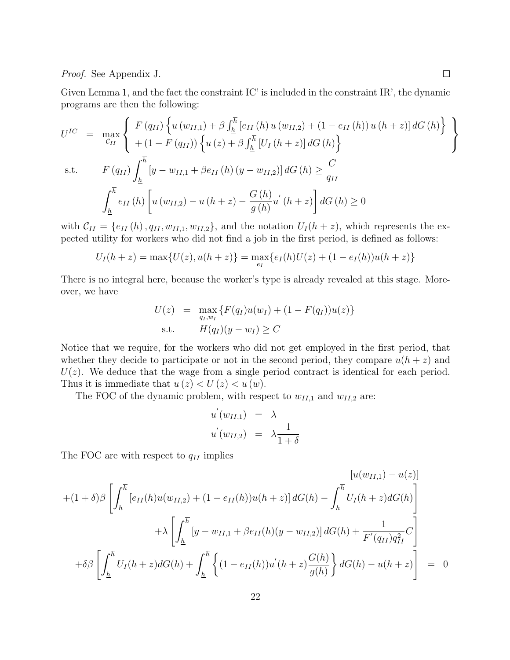#### Proof. See Appendix J.

Given Lemma 1, and the fact the constraint IC' is included in the constraint IR', the dynamic programs are then the following:

$$
U^{IC} = \max_{C_{II}} \left\{ \begin{array}{l} F(q_{II}) \left\{ u(w_{II,1}) + \beta \int_{\underline{h}}^{\overline{h}} \left[ e_{II} \left( h \right) u \left( w_{II,2} \right) + \left( 1 - e_{II} \left( h \right) \right) u \left( h + z \right) \right] dG \left( h \right) \right\} \\ + \left( 1 - F(q_{II}) \right) \left\{ u \left( z \right) + \beta \int_{\underline{h}}^{\overline{h}} \left[ U_I \left( h + z \right) \right] dG \left( h \right) \right\} \\ \text{s.t.} \qquad F(q_{II}) \int_{\underline{h}}^{\overline{h}} \left[ y - w_{II,1} + \beta e_{II} \left( h \right) \left( y - w_{II,2} \right) \right] dG \left( h \right) \ge \frac{C}{q_{II}} \\ \int_{\underline{h}}^{\overline{h}} e_{II} \left( h \right) \left[ u \left( w_{II,2} \right) - u \left( h + z \right) - \frac{G \left( h \right)}{g \left( h \right)} u' \left( h + z \right) \right] dG \left( h \right) \ge 0 \end{array} \right\}
$$

with  $C_{II} = \{e_{II}(h), q_{II}, w_{II,1}, w_{II,2}\}\$ , and the notation  $U_I(h+z)$ , which represents the expected utility for workers who did not find a job in the first period, is defined as follows:

$$
U_I(h+z) = \max\{U(z), u(h+z)\} = \max_{e_I} \{e_I(h)U(z) + (1 - e_I(h))u(h+z)\}
$$

There is no integral here, because the worker's type is already revealed at this stage. Moreover, we have

$$
U(z) = \max_{q_I, w_I} \{ F(q_I)u(w_I) + (1 - F(q_I))u(z) \}
$$
  
s.t. 
$$
H(q_I)(y - w_I) \ge C
$$

Notice that we require, for the workers who did not get employed in the first period, that whether they decide to participate or not in the second period, they compare  $u(h + z)$  and  $U(z)$ . We deduce that the wage from a single period contract is identical for each period. Thus it is immediate that  $u(z) < U(z) < u(w)$ .

The FOC of the dynamic problem, with respect to  $w_{II,1}$  and  $w_{II,2}$  are:

$$
u'(w_{II,1}) = \lambda
$$
  

$$
u'(w_{II,2}) = \lambda \frac{1}{1+\delta}
$$

The FOC are with respect to  $q_{II}$  implies

$$
+ (1+\delta)\beta \left[ \int_{\underline{h}}^{\overline{h}} \left[ e_{II}(h)u(w_{II,2}) + (1 - e_{II}(h))u(h+z) \right] dG(h) - \int_{\underline{h}}^{\overline{h}} U_{I}(h+z) dG(h) \right] + \lambda \left[ \int_{\underline{h}}^{\overline{h}} \left[ y - w_{II,1} + \beta e_{II}(h)(y - w_{II,2}) \right] dG(h) + \frac{1}{F'(q_{II})q_{II}^2} C \right] + \delta\beta \left[ \int_{\underline{h}}^{\overline{h}} U_{I}(h+z) dG(h) + \int_{\underline{h}}^{\overline{h}} \left\{ (1 - e_{II}(h))u'(h+z) \frac{G(h)}{g(h)} \right\} dG(h) - u(\overline{h} + z) \right] = 0
$$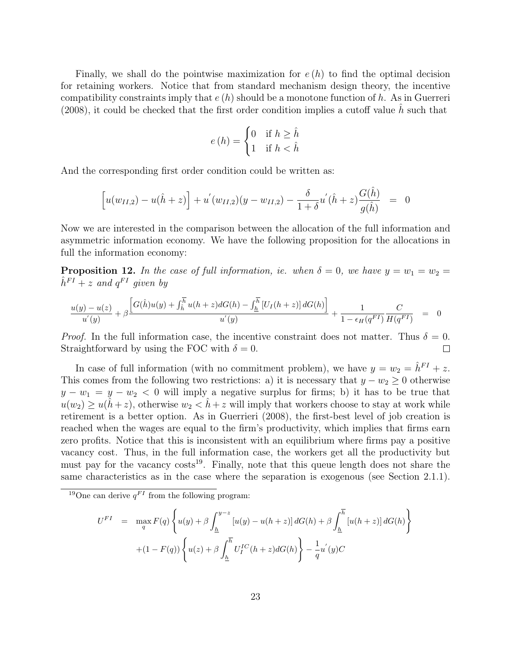Finally, we shall do the pointwise maximization for  $e(h)$  to find the optimal decision for retaining workers. Notice that from standard mechanism design theory, the incentive compatibility constraints imply that  $e(h)$  should be a monotone function of h. As in Guerreri  $(2008)$ , it could be checked that the first order condition implies a cutoff value h such that

$$
e(h) = \begin{cases} 0 & \text{if } h \ge \hat{h} \\ 1 & \text{if } h < \hat{h} \end{cases}
$$

And the corresponding first order condition could be written as:

$$
\[u(w_{II,2}) - u(\hat{h} + z)\] + u'(w_{II,2})(y - w_{II,2}) - \frac{\delta}{1 + \delta}u'(\hat{h} + z)\frac{G(\hat{h})}{g(\hat{h})} = 0\]
$$

Now we are interested in the comparison between the allocation of the full information and asymmetric information economy. We have the following proposition for the allocations in full the information economy:

**Proposition 12.** In the case of full information, ie. when  $\delta = 0$ , we have  $y = w_1 = w_2 = 1$  $\hat{h}^{FI}$  + z and  $q^{FI}$  given by

$$
\frac{u(y) - u(z)}{u'(y)} + \beta \frac{\left[G(\hat{h})u(y) + \int_{\hat{h}}^{\overline{h}} u(h+z)dG(h) - \int_{\underline{h}}^{\overline{h}} \left[U_I(h+z)\right] dG(h)\right]}{u'(y)} + \frac{1}{1 - \epsilon_H(q^{FI})} \frac{C}{H(q^{FI})} = 0
$$

*Proof.* In the full information case, the incentive constraint does not matter. Thus  $\delta = 0$ . Straightforward by using the FOC with  $\delta = 0$ .  $\Box$ 

In case of full information (with no commitment problem), we have  $y = w_2 = \hat{h}^{FI} + z$ . This comes from the following two restrictions: a) it is necessary that  $y - w_2 \geq 0$  otherwise  $y - w_1 = y - w_2 < 0$  will imply a negative surplus for firms; b) it has to be true that  $u(w_2) \geq u(\hat{h}+z)$ , otherwise  $w_2 < \hat{h}+z$  will imply that workers choose to stay at work while retirement is a better option. As in Guerrieri (2008), the first-best level of job creation is reached when the wages are equal to the firm's productivity, which implies that firms earn zero profits. Notice that this is inconsistent with an equilibrium where firms pay a positive vacancy cost. Thus, in the full information case, the workers get all the productivity but must pay for the vacancy  $\cos^{-19}$ . Finally, note that this queue length does not share the same characteristics as in the case where the separation is exogenous (see Section 2.1.1).

$$
U^{FI} = \max_{q} F(q) \left\{ u(y) + \beta \int_{\underline{h}}^{y-z} [u(y) - u(h+z)] dG(h) + \beta \int_{\underline{h}}^{\overline{h}} [u(h+z)] dG(h) \right\} + (1 - F(q)) \left\{ u(z) + \beta \int_{\underline{h}}^{\overline{h}} U_{I}^{IC}(h+z) dG(h) \right\} - \frac{1}{q} u^{'}(y) C
$$

<sup>&</sup>lt;sup>19</sup>One can derive  $q^{FI}$  from the following program: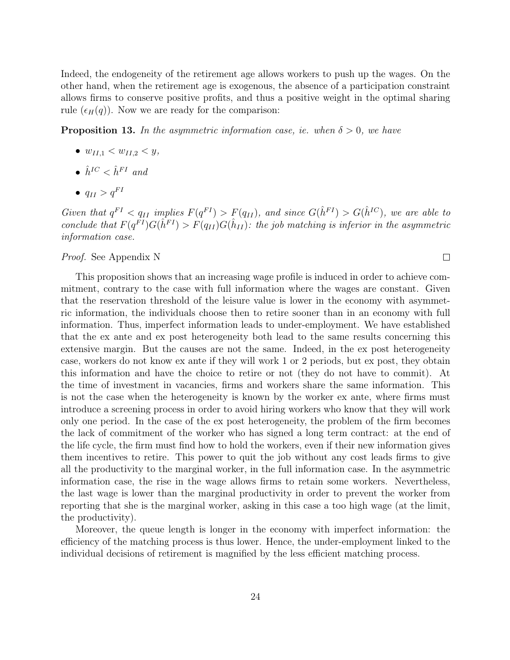Indeed, the endogeneity of the retirement age allows workers to push up the wages. On the other hand, when the retirement age is exogenous, the absence of a participation constraint allows firms to conserve positive profits, and thus a positive weight in the optimal sharing rule  $(\epsilon_H(q))$ . Now we are ready for the comparison:

**Proposition 13.** In the asymmetric information case, ie. when  $\delta > 0$ , we have

- $w_{II,1} < w_{II,2} < y$ ,
- $\hat{h}^{IC} < \hat{h}^{FI}$  and
- $q_{II} > q^{FI}$

Given that  $q^{FI} < q_{II}$  implies  $F(q^{FI}) > F(q_{II})$ , and since  $G(\hat{h}^{FI}) > G(\hat{h}^{IC})$ , we are able to conclude that  $F(q^{FI})G(\hat{h}^{FI}) > F(q_{II})G(\hat{h}_{II})$ : the job matching is inferior in the asymmetric information case.

 $\Box$ 

#### Proof. See Appendix N

This proposition shows that an increasing wage profile is induced in order to achieve commitment, contrary to the case with full information where the wages are constant. Given that the reservation threshold of the leisure value is lower in the economy with asymmetric information, the individuals choose then to retire sooner than in an economy with full information. Thus, imperfect information leads to under-employment. We have established that the ex ante and ex post heterogeneity both lead to the same results concerning this extensive margin. But the causes are not the same. Indeed, in the ex post heterogeneity case, workers do not know ex ante if they will work 1 or 2 periods, but ex post, they obtain this information and have the choice to retire or not (they do not have to commit). At the time of investment in vacancies, firms and workers share the same information. This is not the case when the heterogeneity is known by the worker ex ante, where firms must introduce a screening process in order to avoid hiring workers who know that they will work only one period. In the case of the ex post heterogeneity, the problem of the firm becomes the lack of commitment of the worker who has signed a long term contract: at the end of the life cycle, the firm must find how to hold the workers, even if their new information gives them incentives to retire. This power to quit the job without any cost leads firms to give all the productivity to the marginal worker, in the full information case. In the asymmetric information case, the rise in the wage allows firms to retain some workers. Nevertheless, the last wage is lower than the marginal productivity in order to prevent the worker from reporting that she is the marginal worker, asking in this case a too high wage (at the limit, the productivity).

Moreover, the queue length is longer in the economy with imperfect information: the efficiency of the matching process is thus lower. Hence, the under-employment linked to the individual decisions of retirement is magnified by the less efficient matching process.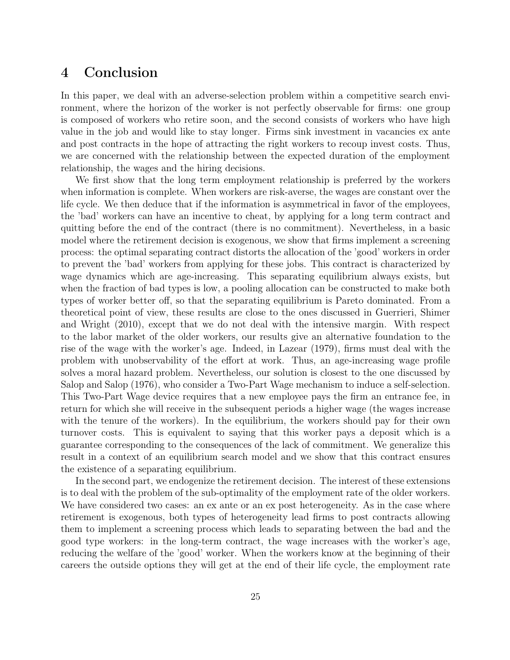### 4 Conclusion

In this paper, we deal with an adverse-selection problem within a competitive search environment, where the horizon of the worker is not perfectly observable for firms: one group is composed of workers who retire soon, and the second consists of workers who have high value in the job and would like to stay longer. Firms sink investment in vacancies ex ante and post contracts in the hope of attracting the right workers to recoup invest costs. Thus, we are concerned with the relationship between the expected duration of the employment relationship, the wages and the hiring decisions.

We first show that the long term employment relationship is preferred by the workers when information is complete. When workers are risk-averse, the wages are constant over the life cycle. We then deduce that if the information is asymmetrical in favor of the employees, the 'bad' workers can have an incentive to cheat, by applying for a long term contract and quitting before the end of the contract (there is no commitment). Nevertheless, in a basic model where the retirement decision is exogenous, we show that firms implement a screening process: the optimal separating contract distorts the allocation of the 'good' workers in order to prevent the 'bad' workers from applying for these jobs. This contract is characterized by wage dynamics which are age-increasing. This separating equilibrium always exists, but when the fraction of bad types is low, a pooling allocation can be constructed to make both types of worker better off, so that the separating equilibrium is Pareto dominated. From a theoretical point of view, these results are close to the ones discussed in Guerrieri, Shimer and Wright (2010), except that we do not deal with the intensive margin. With respect to the labor market of the older workers, our results give an alternative foundation to the rise of the wage with the worker's age. Indeed, in Lazear (1979), firms must deal with the problem with unobservability of the effort at work. Thus, an age-increasing wage profile solves a moral hazard problem. Nevertheless, our solution is closest to the one discussed by Salop and Salop (1976), who consider a Two-Part Wage mechanism to induce a self-selection. This Two-Part Wage device requires that a new employee pays the firm an entrance fee, in return for which she will receive in the subsequent periods a higher wage (the wages increase with the tenure of the workers). In the equilibrium, the workers should pay for their own turnover costs. This is equivalent to saying that this worker pays a deposit which is a guarantee corresponding to the consequences of the lack of commitment. We generalize this result in a context of an equilibrium search model and we show that this contract ensures the existence of a separating equilibrium.

In the second part, we endogenize the retirement decision. The interest of these extensions is to deal with the problem of the sub-optimality of the employment rate of the older workers. We have considered two cases: an ex ante or an ex post heterogeneity. As in the case where retirement is exogenous, both types of heterogeneity lead firms to post contracts allowing them to implement a screening process which leads to separating between the bad and the good type workers: in the long-term contract, the wage increases with the worker's age, reducing the welfare of the 'good' worker. When the workers know at the beginning of their careers the outside options they will get at the end of their life cycle, the employment rate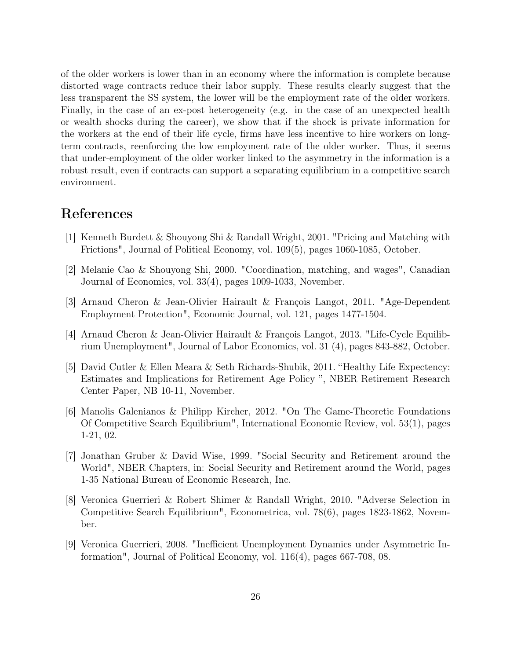of the older workers is lower than in an economy where the information is complete because distorted wage contracts reduce their labor supply. These results clearly suggest that the less transparent the SS system, the lower will be the employment rate of the older workers. Finally, in the case of an ex-post heterogeneity (e.g. in the case of an unexpected health or wealth shocks during the career), we show that if the shock is private information for the workers at the end of their life cycle, firms have less incentive to hire workers on longterm contracts, reenforcing the low employment rate of the older worker. Thus, it seems that under-employment of the older worker linked to the asymmetry in the information is a robust result, even if contracts can support a separating equilibrium in a competitive search environment.

# References

- [1] Kenneth Burdett & Shouyong Shi & Randall Wright, 2001. "Pricing and Matching with Frictions", Journal of Political Economy, vol. 109(5), pages 1060-1085, October.
- [2] Melanie Cao & Shouyong Shi, 2000. "Coordination, matching, and wages", Canadian Journal of Economics, vol. 33(4), pages 1009-1033, November.
- [3] Arnaud Cheron & Jean-Olivier Hairault & François Langot, 2011. "Age-Dependent Employment Protection", Economic Journal, vol. 121, pages 1477-1504.
- [4] Arnaud Cheron & Jean-Olivier Hairault & François Langot, 2013. "Life-Cycle Equilibrium Unemployment", Journal of Labor Economics, vol. 31 (4), pages 843-882, October.
- [5] David Cutler & Ellen Meara & Seth Richards-Shubik, 2011. "Healthy Life Expectency: Estimates and Implications for Retirement Age Policy ", NBER Retirement Research Center Paper, NB 10-11, November.
- [6] Manolis Galenianos & Philipp Kircher, 2012. "On The Game-Theoretic Foundations Of Competitive Search Equilibrium", International Economic Review, vol. 53(1), pages 1-21, 02.
- [7] Jonathan Gruber & David Wise, 1999. "Social Security and Retirement around the World", NBER Chapters, in: Social Security and Retirement around the World, pages 1-35 National Bureau of Economic Research, Inc.
- [8] Veronica Guerrieri & Robert Shimer & Randall Wright, 2010. "Adverse Selection in Competitive Search Equilibrium", Econometrica, vol. 78(6), pages 1823-1862, November.
- [9] Veronica Guerrieri, 2008. "Inefficient Unemployment Dynamics under Asymmetric Information", Journal of Political Economy, vol. 116(4), pages 667-708, 08.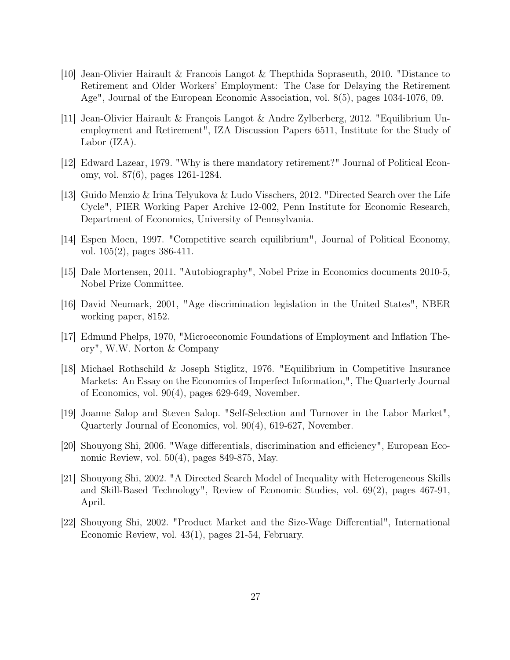- [10] Jean-Olivier Hairault & Francois Langot & Thepthida Sopraseuth, 2010. "Distance to Retirement and Older Workers' Employment: The Case for Delaying the Retirement Age", Journal of the European Economic Association, vol. 8(5), pages 1034-1076, 09.
- [11] Jean-Olivier Hairault & François Langot & Andre Zylberberg, 2012. "Equilibrium Unemployment and Retirement", IZA Discussion Papers 6511, Institute for the Study of Labor (IZA).
- [12] Edward Lazear, 1979. "Why is there mandatory retirement?" Journal of Political Economy, vol. 87(6), pages 1261-1284.
- [13] Guido Menzio & Irina Telyukova & Ludo Visschers, 2012. "Directed Search over the Life Cycle", PIER Working Paper Archive 12-002, Penn Institute for Economic Research, Department of Economics, University of Pennsylvania.
- [14] Espen Moen, 1997. "Competitive search equilibrium", Journal of Political Economy, vol. 105(2), pages 386-411.
- [15] Dale Mortensen, 2011. "Autobiography", Nobel Prize in Economics documents 2010-5, Nobel Prize Committee.
- [16] David Neumark, 2001, "Age discrimination legislation in the United States", NBER working paper, 8152.
- [17] Edmund Phelps, 1970, "Microeconomic Foundations of Employment and Inflation Theory", W.W. Norton & Company
- [18] Michael Rothschild & Joseph Stiglitz, 1976. "Equilibrium in Competitive Insurance Markets: An Essay on the Economics of Imperfect Information,", The Quarterly Journal of Economics, vol. 90(4), pages 629-649, November.
- [19] Joanne Salop and Steven Salop. "Self-Selection and Turnover in the Labor Market", Quarterly Journal of Economics, vol. 90(4), 619-627, November.
- [20] Shouyong Shi, 2006. "Wage differentials, discrimination and efficiency", European Economic Review, vol. 50(4), pages 849-875, May.
- [21] Shouyong Shi, 2002. "A Directed Search Model of Inequality with Heterogeneous Skills and Skill-Based Technology", Review of Economic Studies, vol. 69(2), pages 467-91, April.
- [22] Shouyong Shi, 2002. "Product Market and the Size-Wage Differential", International Economic Review, vol. 43(1), pages 21-54, February.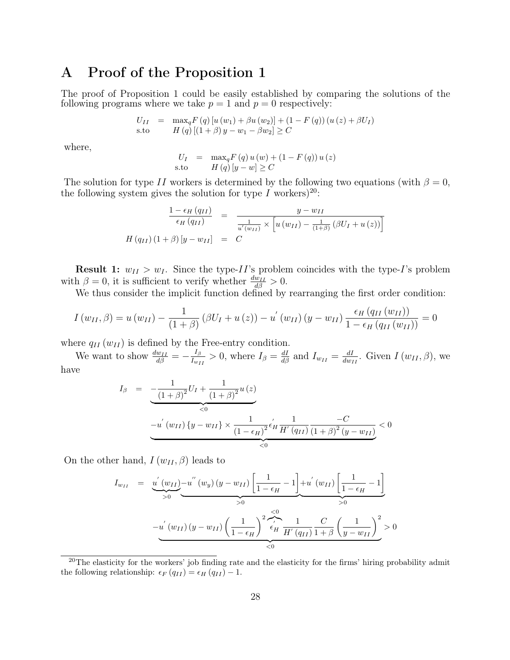### A Proof of the Proposition 1

The proof of Proposition 1 could be easily established by comparing the solutions of the following programs where we take  $p = 1$  and  $p = 0$  respectively:

$$
U_{II} = \max_{q} F(q) [u(w_1) + \beta u(w_2)] + (1 - F(q)) (u(z) + \beta U_I)
$$
  
s.to 
$$
H(q) [(1 + \beta) y - w_1 - \beta w_2] \ge C
$$

where,

$$
U_{I} = \max_{q} F(q) u(w) + (1 - F(q)) u(z)
$$
  
s.to  $H(q) [y - w] \ge C$ 

The solution for type II workers is determined by the following two equations (with  $\beta = 0$ , the following system gives the solution for type I workers)<sup>20</sup>:

$$
\frac{1 - \epsilon_H (q_{II})}{\epsilon_H (q_{II})} = \frac{y - w_{II}}{\frac{1}{u'(w_{II})} \times \left[ u (w_{II}) - \frac{1}{(1+\beta)} (\beta U_I + u (z)) \right]}
$$
  

$$
H (q_{II}) (1+\beta) [y - w_{II}] = C
$$

**Result 1:**  $w_{II} > w_I$ . Since the type-II's problem coincides with the type-I's problem with  $\beta = 0$ , it is sufficient to verify whether  $\frac{dw_{II}}{d\beta} > 0$ .

We thus consider the implicit function defined by rearranging the first order condition:

$$
I(w_{II}, \beta) = u(w_{II}) - \frac{1}{(1+\beta)} (\beta U_I + u(z)) - u'(w_{II}) (y - w_{II}) \frac{\epsilon_H (q_{II}(w_{II}))}{1 - \epsilon_H (q_{II}(w_{II}))} = 0
$$

where  $q_{II} (w_{II})$  is defined by the Free-entry condition.

We want to show  $\frac{dw_{II}}{d\beta} = -\frac{I_{\beta}}{I_{w_I}}$  $\frac{I_{\beta}}{I_{w_{II}}} > 0$ , where  $I_{\beta} = \frac{dI}{d\beta}$  and  $I_{w_{II}} = \frac{dI}{dw_{II}}$  $\frac{dI}{dw_{II}}$ . Given  $I(w_{II}, \beta)$ , we have

$$
I_{\beta} = -\frac{1}{(1+\beta)^{2}}U_{I} + \frac{1}{(1+\beta)^{2}}u(z)
$$
  

$$
-u^{'}(w_{II})\{y-w_{II}\} \times \frac{1}{(1-\epsilon_{H})^{2}}\epsilon_{H}^{'}\frac{1}{H^{'}(q_{II})}\frac{-C}{(1+\beta)^{2}(y-w_{II})}<0
$$
  

$$
\leq 0
$$

On the other hand,  $I(w_{II}, \beta)$  leads to

$$
I_{w_{II}} = \underbrace{u'(w_{II})}_{>0} - u''(w_y)(y - w_{II}) \left[ \frac{1}{1 - \epsilon_H} - 1 \right] + u'(w_{II}) \left[ \frac{1}{1 - \epsilon_H} - 1 \right]}_{>0}
$$
  

$$
-u'(w_{II})(y - w_{II}) \left( \frac{1}{1 - \epsilon_H} \right)^2 \left( \frac{1}{\epsilon_H} \frac{1}{H'(q_{II})} \frac{C}{1 + \beta} \left( \frac{1}{y - w_{II}} \right)^2 \right) > 0
$$

 $^{20}$ The elasticity for the workers' job finding rate and the elasticity for the firms' hiring probability admit the following relationship:  $\epsilon_F (q_{II}) = \epsilon_H (q_{II}) - 1$ .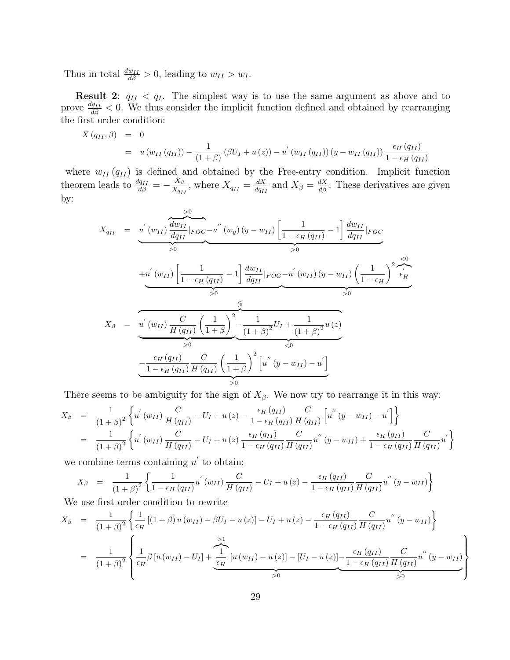Thus in total  $\frac{dw_{II}}{d\beta} > 0$ , leading to  $w_{II} > w_I$ .

**Result 2:**  $q_{II} < q_I$ . The simplest way is to use the same argument as above and to prove  $\frac{dq_{II}}{d\beta} < 0$ . We thus consider the implicit function defined and obtained by rearranging the first order condition:

$$
X (q_{II}, \beta) = 0
$$
  
=  $u (w_{II} (q_{II})) - \frac{1}{(1+\beta)} (\beta U_I + u(z)) - u' (w_{II} (q_{II})) (y - w_{II} (q_{II})) \frac{\epsilon_H (q_{II})}{1 - \epsilon_H (q_{II})}$ 

where  $w_{II}(q_{II})$  is defined and obtained by the Free-entry condition. Implicit function theorem leads to  $\frac{dq_{II}}{d\beta} = -\frac{X_{\beta}}{X_{q_I}}$  $\frac{X_{\beta}}{X_{q_{II}}}$ , where  $X_{q_{II}} = \frac{dX}{dq_{II}}$  $\frac{dX}{dq_{II}}$  and  $X_{\beta} = \frac{dX}{d\beta}$ . These derivatives are given by:

$$
X_{q_{II}} = \underbrace{u^{'}(w_{II}) \frac{dw_{II}}{dq_{II}} |_{FOC} - u^{''}(w_{y})(y - w_{II})}_{>0} \left[ \frac{1}{1 - \epsilon_{H}(q_{II})} - 1 \right] \frac{dw_{II}}{dq_{II}} |_{FOC}
$$
\n
$$
+ \underbrace{u^{'}(w_{II}) \left[ \frac{1}{1 - \epsilon_{H}(q_{II})} - 1 \right] \frac{dw_{II}}{dq_{II}} |_{FOC} - u^{'}(w_{II})(y - w_{II})} \left( \frac{1}{1 - \epsilon_{H}} \right)^{2} \frac{d\epsilon_{II}}{\epsilon_{II}}}_{>0}
$$
\n
$$
X_{\beta} = \underbrace{u^{'}(w_{II}) \frac{C}{H(q_{II})} \left( \frac{1}{1 + \beta} \right)^{2}}_{>0} - \underbrace{\frac{1}{(1 + \beta)^{2}} U_{I} + \frac{1}{(1 + \beta)^{2}} u(z)}_{<0}
$$
\n
$$
- \underbrace{\frac{\epsilon_{H}(q_{II})}{1 - \epsilon_{H}(q_{II})} \frac{C}{H(q_{II})} \left( \frac{1}{1 + \beta} \right)^{2} \left[ u^{''}(y - w_{II}) - u^{'} \right]}_{>0}
$$

There seems to be ambiguity for the sign of  $X_\beta$ . We now try to rearrange it in this way:

$$
X_{\beta} = \frac{1}{(1+\beta)^2} \left\{ u^{'}(w_{II}) \frac{C}{H(q_{II})} - U_I + u(z) - \frac{\epsilon_H(q_{II})}{1 - \epsilon_H(q_{II})} \frac{C}{H(q_{II})} \left[ u^{''}(y - w_{II}) - u^{'} \right] \right\}
$$
  
= 
$$
\frac{1}{(1+\beta)^2} \left\{ u^{'}(w_{II}) \frac{C}{H(q_{II})} - U_I + u(z) \frac{\epsilon_H(q_{II})}{1 - \epsilon_H(q_{II})} \frac{C}{H(q_{II})} u^{''}(y - w_{II}) + \frac{\epsilon_H(q_{II})}{1 - \epsilon_H(q_{II})} \frac{C}{H(q_{II})} u^{'} \right\}
$$

we combine terms containing  $u'$  to obtain:

$$
X_{\beta} = \frac{1}{(1+\beta)^2} \left\{ \frac{1}{1-\epsilon_H (q_{II})} u^{'}(w_{II}) \frac{C}{H (q_{II})} - U_I + u(z) - \frac{\epsilon_H (q_{II})}{1-\epsilon_H (q_{II})} \frac{C}{H (q_{II})} u^{''}(y-w_{II}) \right\}
$$

We use first order condition to rewrite

$$
X_{\beta} = \frac{1}{(1+\beta)^2} \left\{ \frac{1}{\epsilon_H} \left[ (1+\beta) u(w_{II}) - \beta U_I - u(z) \right] - U_I + u(z) - \frac{\epsilon_H (q_{II})}{1 - \epsilon_H (q_{II})} \frac{C}{H (q_{II})} u''(y - w_{II}) \right\}
$$
  

$$
= \frac{1}{(1+\beta)^2} \left\{ \frac{1}{\epsilon_H} \beta \left[ u(w_{II}) - U_I \right] + \underbrace{\sum_{\epsilon_H}^{>1} \left[ u(w_{II}) - u(z) \right] - \left[ U_I - u(z) \right] - \frac{\epsilon_H (q_{II})}{1 - \epsilon_H (q_{II})} \frac{C}{H (q_{II})} u''(y - w_{II})}_{>0} \right\}
$$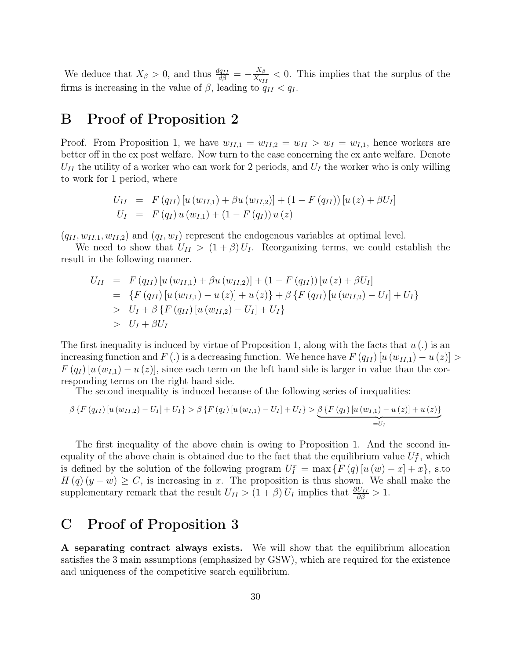We deduce that  $X_{\beta} > 0$ , and thus  $\frac{dq_{II}}{d\beta} = -\frac{X_{\beta}}{X_{q_I}}$  $\frac{X_{\beta}}{X_{q_{II}}}$  < 0. This implies that the surplus of the firms is increasing in the value of  $\beta$ , leading to  $q_{II} < q_I$ .

#### B Proof of Proposition 2

Proof. From Proposition 1, we have  $w_{II,1} = w_{II,2} = w_{II} > w_I = w_{I,1}$ , hence workers are better off in the ex post welfare. Now turn to the case concerning the ex ante welfare. Denote  $U_{II}$  the utility of a worker who can work for 2 periods, and  $U_I$  the worker who is only willing to work for 1 period, where

$$
U_{II} = F(q_{II}) [u (w_{II,1}) + \beta u (w_{II,2})] + (1 - F(q_{II})) [u (z) + \beta U_{I}]
$$
  
\n
$$
U_{I} = F(q_{I}) u (w_{I,1}) + (1 - F(q_{I})) u (z)
$$

 $(q_{II}, w_{II,1}, w_{II,2})$  and  $(q_I, w_I)$  represent the endogenous variables at optimal level.

We need to show that  $U_{II} > (1+\beta) U_I$ . Reorganizing terms, we could establish the result in the following manner.

$$
U_{II} = F(q_{II}) [u (w_{II,1}) + \beta u (w_{II,2})] + (1 - F(q_{II})) [u (z) + \beta U_I]
$$
  
\n
$$
= \{ F(q_{II}) [u (w_{II,1}) - u (z)] + u (z) \} + \beta \{ F(q_{II}) [u (w_{II,2}) - U_I] + U_I \}
$$
  
\n
$$
> U_I + \beta \{ F(q_{II}) [u (w_{II,2}) - U_I] + U_I \}
$$
  
\n
$$
> U_I + \beta U_I
$$

The first inequality is induced by virtue of Proposition 1, along with the facts that  $u(.)$  is an increasing function and F (.) is a decreasing function. We hence have  $F(q_{II})[u(w_{II,1})-u(z)] >$  $F(q_I) [u(w_{I,1}) - u(z)]$ , since each term on the left hand side is larger in value than the corresponding terms on the right hand side.

The second inequality is induced because of the following series of inequalities:

$$
\beta \left\{ F\left(q_{II}\right) \left[ u\left(w_{II,2}\right) - U_{I}\right] + U_{I} \right\} > \beta \left\{ F\left(q_{I}\right) \left[ u\left(w_{I,1}\right) - U_{I}\right] + U_{I} \right\} > \underbrace{\beta \left\{ F\left(q_{I}\right) \left[ u\left(w_{I,1}\right) - u\left(z\right) \right] + u\left(z\right) \right\}}_{=U_{I}}
$$

The first inequality of the above chain is owing to Proposition 1. And the second inequality of the above chain is obtained due to the fact that the equilibrium value  $U_I^x$ , which is defined by the solution of the following program  $U_I^x = \max \{F(q) [u(w) - x] + x\}$ , s.to  $H(q)(y-w) \geq C$ , is increasing in x. The proposition is thus shown. We shall make the supplementary remark that the result  $U_{II} > (1 + \beta) U_I$  implies that  $\frac{\partial U_{II}}{\partial \beta} > 1$ .

#### C Proof of Proposition 3

A separating contract always exists. We will show that the equilibrium allocation satisfies the 3 main assumptions (emphasized by GSW), which are required for the existence and uniqueness of the competitive search equilibrium.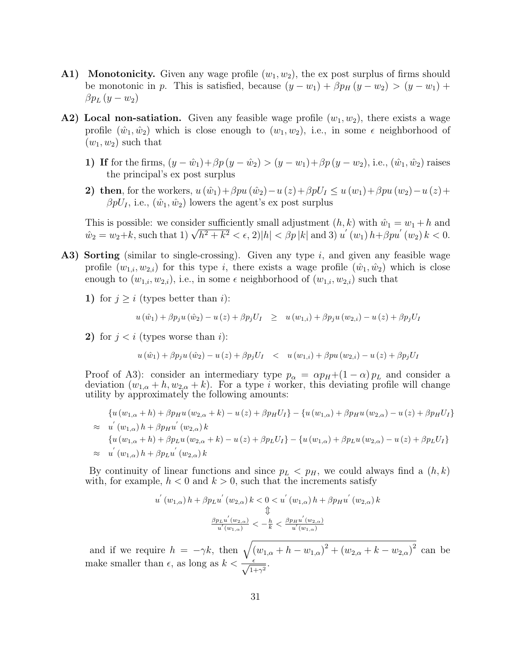- **A1)** Monotonicity. Given any wage profile  $(w_1, w_2)$ , the expost surplus of firms should be monotonic in p. This is satisfied, because  $(y - w_1) + \beta p_H (y - w_2) > (y - w_1) +$  $\beta p_L (y - w_2)$
- A2) Local non-satiation. Given any feasible wage profile  $(w_1, w_2)$ , there exists a wage profile  $(\hat{w}_1, \hat{w}_2)$  which is close enough to  $(w_1, w_2)$ , i.e., in some  $\epsilon$  neighborhood of  $(w_1, w_2)$  such that
	- 1) If for the firms,  $(y \hat{w}_1) + \beta p (y \hat{w}_2) > (y w_1) + \beta p (y w_2)$ , i.e.,  $(\hat{w}_1, \hat{w}_2)$  raises the principal's ex post surplus
	- 2) then, for the workers,  $u(\hat{w}_1)+\beta pu(\hat{w}_2)-u(z)+\beta pU_1 \le u(w_1)+\beta pu(w_2)-u(z)+$  $\beta pU_I$ , i.e.,  $(\hat{w}_1,\hat{w}_2)$  lowers the agent's expost surplus

This is possible: we consider sufficiently small adjustment  $(h, k)$  with  $\hat{w}_1 = w_1 + h$  and This is possible: we consider sumclently small adjustment  $(n, \kappa)$  with  $w_1 = w_1 + n$  and  $\hat{w}_2 = w_2 + k$ , such that  $1$ )  $\sqrt{h^2 + k^2} < \epsilon$ ,  $2$ )| $h$ |  $\lt \beta p |k|$  and  $3$ )  $u'(w_1) h + \beta p u'(w_2) k < 0$ .

- A3) Sorting (similar to single-crossing). Given any type i, and given any feasible wage profile  $(w_{1,i}, w_{2,i})$  for this type i, there exists a wage profile  $(\hat{w}_1, \hat{w}_2)$  which is close enough to  $(w_{1,i}, w_{2,i})$ , i.e., in some  $\epsilon$  neighborhood of  $(w_{1,i}, w_{2,i})$  such that
	- 1) for  $j \geq i$  (types better than i):

$$
u(\hat{w}_1) + \beta p_j u(\hat{w}_2) - u(z) + \beta p_j U_I \geq u(w_{1,i}) + \beta p_j u(w_{2,i}) - u(z) + \beta p_j U_I
$$

2) for  $j < i$  (types worse than i):

$$
u(\hat{w}_1) + \beta p_j u(\hat{w}_2) - u(z) + \beta p_j U_I < u(w_{1,i}) + \beta p u(w_{2,i}) - u(z) + \beta p_j U_I
$$

Proof of A3): consider an intermediary type  $p_{\alpha} = \alpha p_H + (1 - \alpha) p_L$  and consider a deviation  $(w_{1,\alpha} + h, w_{2,\alpha} + k)$ . For a type i worker, this deviating profile will change utility by approximately the following amounts:

$$
\{u(w_{1,\alpha} + h) + \beta p_{H}u(w_{2,\alpha} + k) - u(z) + \beta p_{H}U_{I}\} - \{u(w_{1,\alpha}) + \beta p_{H}u(w_{2,\alpha}) - u(z) + \beta p_{H}U_{I}\}\
$$
  
\n
$$
\approx u'(w_{1,\alpha}) h + \beta p_{H}u'(w_{2,\alpha}) k
$$
  
\n
$$
\{u(w_{1,\alpha} + h) + \beta p_{L}u(w_{2,\alpha} + k) - u(z) + \beta p_{L}U_{I}\} - \{u(w_{1,\alpha}) + \beta p_{L}u(w_{2,\alpha}) - u(z) + \beta p_{L}U_{I}\}\
$$
  
\n
$$
\approx u'(w_{1,\alpha}) h + \beta p_{L}u'(w_{2,\alpha}) k
$$

By continuity of linear functions and since  $p_L < p_H$ , we could always find a  $(h, k)$ with, for example,  $h < 0$  and  $k > 0$ , such that the increments satisfy

$$
u^{'}\left(w_{1,\alpha}\right)h + \beta p_{L}u^{'}\left(w_{2,\alpha}\right)k < 0 < u^{'}\left(w_{1,\alpha}\right)h + \beta p_{H}u^{'}\left(w_{2,\alpha}\right)k
$$
\n
$$
\updownarrow
$$
\n
$$
\frac{\beta p_{L}u^{'}\left(w_{2,\alpha}\right)}{u^{'}\left(w_{1,\alpha}\right)} < -\frac{h}{k} < \frac{\beta p_{H}u^{'}\left(w_{2,\alpha}\right)}{u^{'}\left(w_{1,\alpha}\right)}
$$

and if we require  $h = -\gamma k$ , then  $\sqrt{(w_{1,\alpha} + h - w_{1,\alpha})^2 + (w_{2,\alpha} + k - w_{2,\alpha})^2}$  can be make smaller than  $\epsilon$ , as long as  $k < \frac{\epsilon}{\sqrt{1+\gamma^2}}$ .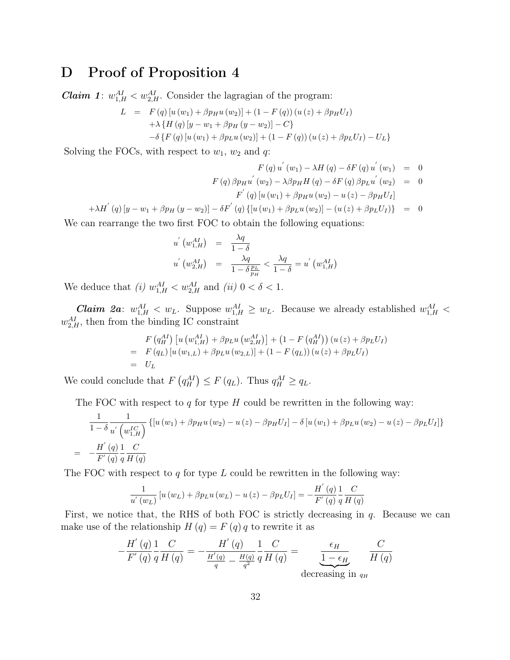### D Proof of Proposition 4

**Claim 1**:  $w_{1,H}^{AI} < w_{2,H}^{AI}$ . Consider the lagragian of the program:

$$
L = F(q) [u (w1) + \beta p_{H} u (w_{2})] + (1 - F(q)) (u (z) + \beta p_{H} U_{I})
$$
  
+  $\lambda \{H(q) [y - w_{1} + \beta p_{H} (y - w_{2})] - C\}$   
-  $\delta \{F(q) [u (w_{1}) + \beta p_{L} u (w_{2})] + (1 - F(q)) (u (z) + \beta p_{L} U_{I}) - U_{L}\}$ 

Solving the FOCs, with respect to  $w_1$ ,  $w_2$  and  $q$ :

$$
F(q) u^{'}(w_{1}) - \lambda H(q) - \delta F(q) u^{'}(w_{1}) = 0
$$
  

$$
F(q) \beta p_{H} u^{'}(w_{2}) - \lambda \beta p_{H} H(q) - \delta F(q) \beta p_{L} u^{'}(w_{2}) = 0
$$
  

$$
F^{'}(q) [u(w_{1}) + \beta p_{H} u(w_{2}) - u(z) - \beta p_{H} U_{I}]
$$

$$
+\lambda H^{'}(q)[y-w_{1}+\beta p_{H}(y-w_{2})]-\delta F^{'}(q)[u(w_{1})+\beta p_{L}u(w_{2})] - (u(z)+\beta p_{L}U_{I})\} = 0
$$

We can rearrange the two first FOC to obtain the following equations:

$$
u'(w_{1,H}^{AI}) = \frac{\lambda q}{1 - \delta}
$$
  

$$
u'(w_{2,H}^{AI}) = \frac{\lambda q}{1 - \delta \frac{p_L}{p_H}} < \frac{\lambda q}{1 - \delta} = u'(w_{1,H}^{AI})
$$

We deduce that (i)  $w_{1,H}^{AI} < w_{2,H}^{AI}$  and (ii)  $0 < \delta < 1$ .

*Claim 2a*:  $w_{1,H}^{AI} < w_L$ . Suppose  $w_{1,H}^{AI} \geq w_L$ . Because we already established  $w_{1,H}^{AI} <$  $w_{2,H}^{AI}$ , then from the binding IC constraint

$$
F(q_H^{AI}) [u (w_{1,H}^{AI}) + \beta p_L u (w_{2,H}^{AI})] + (1 - F (q_H^{AI})) (u (z) + \beta p_L U_I)
$$
  
=  $F(q_L) [u (w_{1,L}) + \beta p_L u (w_{2,L})] + (1 - F (q_L)) (u (z) + \beta p_L U_I)$   
=  $U_L$ 

We could conclude that  $F(q_H^{\text{AI}}) \leq F(q_L)$ . Thus  $q_H^{\text{AI}} \geq q_L$ .

The FOC with respect to  $q$  for type  $H$  could be rewritten in the following way:

$$
\frac{1}{1-\delta} \frac{1}{u' \left(w_{1,H}^{IC}\right)} \left\{ \left[u\left(w_{1}\right)+\beta p_{H} u\left(w_{2}\right)-u\left(z\right)-\beta p_{H} U_{I}\right]-\delta\left[u\left(w_{1}\right)+\beta p_{L} u\left(w_{2}\right)-u\left(z\right)-\beta p_{L} U_{I}\right]\right\}
$$
\n
$$
= -\frac{H^{'}\left(q\right)}{F'\left(q\right)} \frac{1}{q} \frac{C}{H\left(q\right)}
$$

The FOC with respect to q for type L could be rewritten in the following way:

$$
\frac{1}{u'(w_L)}\left[u(w_L) + \beta p_L u(w_L) - u(z) - \beta p_L U_I\right] = -\frac{H'(q)}{F'(q)}\frac{1}{q}\frac{C}{H(q)}
$$

First, we notice that, the RHS of both FOC is strictly decreasing in  $q$ . Because we can make use of the relationship  $H(q) = F(q) q$  to rewrite it as

$$
-\frac{H^{'}\left(q\right)}{F^{'}\left(q\right)}\frac{1}{q}\frac{C}{H\left(q\right)} = -\frac{H^{'}\left(q\right)}{\frac{H^{'}\left(q\right)}{q} - \frac{H\left(q\right)}{q^2}}\frac{1}{q}\frac{C}{H\left(q\right)} = \underbrace{\frac{\epsilon_H}{1 - \epsilon_H}}_{\text{decreasing in }q_H} \frac{C}{H\left(q\right)}
$$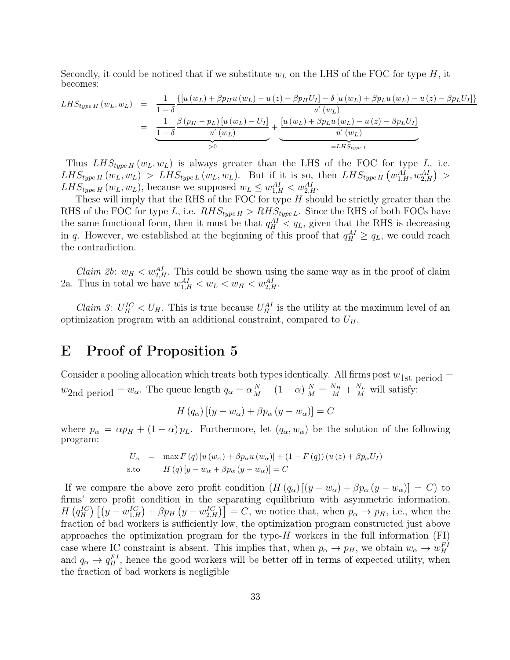Secondly, it could be noticed that if we substitute  $w<sub>L</sub>$  on the LHS of the FOC for type H, it becomes:

$$
LHS_{type\ H}(w_L, w_L) = \frac{1}{1-\delta} \frac{\left\{ \left[ u(w_L) + \beta p_H u(w_L) - u(z) - \beta p_H U_I \right] - \delta \left[ u(w_L) + \beta p_L u(w_L) - u(z) - \beta p_L U_I \right] \right\}}{u'(w_L)}
$$
  
= 
$$
\underbrace{\frac{1}{1-\delta} \frac{\beta (p_H - p_L) \left[ u(w_L) - U_I \right]}{u'(w_L)} + \frac{\left[ u(w_L) + \beta p_L u(w_L) - u(z) - \beta p_L U_I \right]}{u'(w_L)}}_{=LHS_{type\ L}}
$$

Thus  $LHS_{type\ H}(w_L, w_L)$  is always greater than the LHS of the FOC for type L, i.e.  $LHS_{type\ H}(w_L, w_L) > LHS_{type\ L}(w_L, w_L)$ . But if it is so, then  $LHS_{type\ H}(w_{1,H}^{AI}, w_{2,H}^{AI}) >$  $LHS_{type\ H}(w_L, w_L)$ , because we supposed  $w_L \leq w_{1,H}^{AI} < w_{2,H}^{AI}$ .

These will imply that the RHS of the FOC for type  $H$  should be strictly greater than the RHS of the FOC for type L, i.e.  $RHS_{type H} > RHS_{type L}$ . Since the RHS of both FOCs have the same functional form, then it must be that  $q_H^{AI} < q_L$ , given that the RHS is decreasing in q. However, we established at the beginning of this proof that  $q_H^{AI} \ge q_L$ , we could reach the contradiction.

*Claim 2b*:  $w_H < w_{2,H}^{AI}$ . This could be shown using the same way as in the proof of claim 2a. Thus in total we have  $w_{1,H}^{AI} < w_L < w_H < w_{2,H}^{AI}$ .

*Claim 3:*  $U_H^{IC} < U_H$ . This is true because  $U_H^{AI}$  is the utility at the maximum level of an optimization program with an additional constraint, compared to  $U_H$ .

#### E Proof of Proposition 5

Consider a pooling allocation which treats both types identically. All firms post  $w_{1st}$  period =  $w_{2}$ nd period =  $w_{\alpha}$ . The queue length  $q_{\alpha} = \alpha \frac{N}{M} + (1 - \alpha) \frac{N}{M} = \frac{N_H}{M} + \frac{N_L}{M}$  will satisfy:

$$
H(q_{\alpha})\left[ (y - w_{\alpha}) + \beta p_{\alpha} \left( y - w_{\alpha} \right) \right] = C
$$

where  $p_{\alpha} = \alpha p_H + (1 - \alpha) p_L$ . Furthermore, let  $(q_{\alpha}, w_{\alpha})$  be the solution of the following program:

$$
U_{\alpha} = \max F(q) [u(w_{\alpha}) + \beta p_{\alpha} u(w_{\alpha})] + (1 - F(q)) (u(z) + \beta p_{\alpha} U_I)
$$
  
s.to 
$$
H(q) [y - w_{\alpha} + \beta p_{\alpha} (y - w_{\alpha})] = C
$$

If we compare the above zero profit condition  $(H (q_{\alpha}) [(y - w_{\alpha}) + \beta p_{\alpha} (y - w_{\alpha})] = C)$  to firms' zero profit condition in the separating equilibrium with asymmetric information,  $H(q_H^{IC})\left[ (y-w_{1,H}^{IC}) + \beta p_H (y-w_{2,H}^{IC}) \right] = C$ , we notice that, when  $p_\alpha \to p_H$ , i.e., when the fraction of bad workers is sufficiently low, the optimization program constructed just above approaches the optimization program for the type- $H$  workers in the full information  $(FI)$ case where IC constraint is absent. This implies that, when  $p_{\alpha} \to p_H$ , we obtain  $w_{\alpha} \to w_H^{FI}$ and  $q_{\alpha} \to q_H^{FI}$ , hence the good workers will be better off in terms of expected utility, when the fraction of bad workers is negligible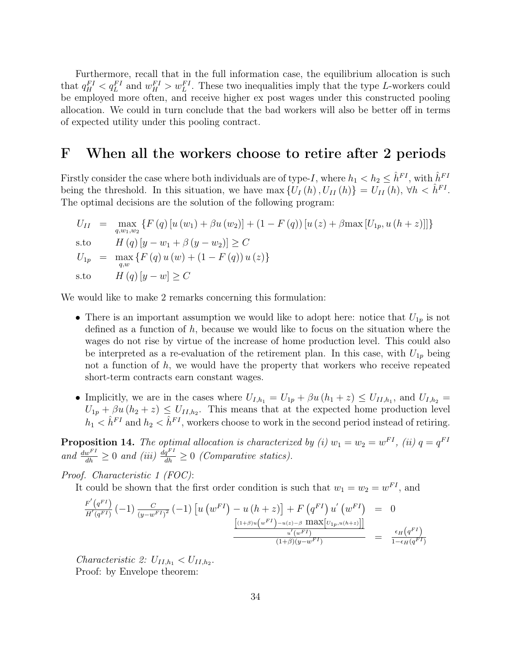Furthermore, recall that in the full information case, the equilibrium allocation is such that  $q_H^{FI} < q_L^{FI}$  and  $w_H^{FI} > w_L^{FI}$ . These two inequalities imply that the type L-workers could be employed more often, and receive higher ex post wages under this constructed pooling allocation. We could in turn conclude that the bad workers will also be better off in terms of expected utility under this pooling contract.

#### F When all the workers choose to retire after 2 periods

Firstly consider the case where both individuals are of type-I, where  $h_1 < h_2 \leq \hat{h}^{FI}$ , with  $\hat{h}^{FI}$ being the threshold. In this situation, we have  $\max \{U_I(h), U_{II}(h)\} = U_{II}(h), \forall h \langle \hat{h}^{FI} \rangle$ . The optimal decisions are the solution of the following program:

$$
U_{II} = \max_{q,w_1,w_2} \{ F(q) [u(w_1) + \beta u(w_2)] + (1 - F(q)) [u(z) + \beta \max [U_{1p}, u(h+z)]] \}
$$
  
s.to 
$$
H(q) [y - w_1 + \beta (y - w_2)] \ge C
$$

$$
U_{1p} = \max_{q,w} \{ F(q) u(w) + (1 - F(q)) u(z) \}
$$
  
s.to 
$$
H(q) [y - w] \ge C
$$

We would like to make 2 remarks concerning this formulation:

- There is an important assumption we would like to adopt here: notice that  $U_{1p}$  is not defined as a function of  $h$ , because we would like to focus on the situation where the wages do not rise by virtue of the increase of home production level. This could also be interpreted as a re-evaluation of the retirement plan. In this case, with  $U_{1p}$  being not a function of  $h$ , we would have the property that workers who receive repeated short-term contracts earn constant wages.
- Implicitly, we are in the cases where  $U_{I,h_1} = U_{1p} + \beta u (h_1 + z) \leq U_{II,h_1}$ , and  $U_{I,h_2} =$  $U_{1p} + \beta u (h_2 + z) \leq U_{II,h_2}$ . This means that at the expected home production level  $h_1 < \hat{h}^{FI}$  and  $h_2 < \hat{h}^{FI}$ , workers choose to work in the second period instead of retiring.

**Proposition 14.** The optimal allocation is characterized by (i)  $w_1 = w_2 = w^{FI}$ , (ii)  $q = q^{FI}$ and  $\frac{dw^{FI}}{dh} \geq 0$  and (iii)  $\frac{dq^{FI}}{dh} \geq 0$  (Comparative statics).

Proof. Characteristic 1 (FOC):

It could be shown that the first order condition is such that  $w_1 = w_2 = w^{FI}$ , and

$$
\frac{F'(q^{FI})}{H'(q^{FI})}(-1)\frac{C}{(y-w^{FI})^2}(-1)\left[u\left(w^{FI}\right)-u\left(h+z\right)\right]+F\left(q^{FI}\right)u'\left(w^{FI}\right) = 0
$$
\n
$$
\frac{\left[ (1+\beta)u\left(w^{FI}\right)-u(z)-\beta \max\left[U_{1p},u\left(h+z\right)\right]\right]}{u'\left(w^{FI}\right)}}{\frac{u'\left(w^{FI}\right)}{(1+\beta)(y-w^{FI})}} = \frac{\epsilon_H(q^{FI})}{1-\epsilon_H(q^{FI})}
$$

Characteristic 2:  $U_{II,h_1} < U_{II,h_2}$ . Proof: by Envelope theorem: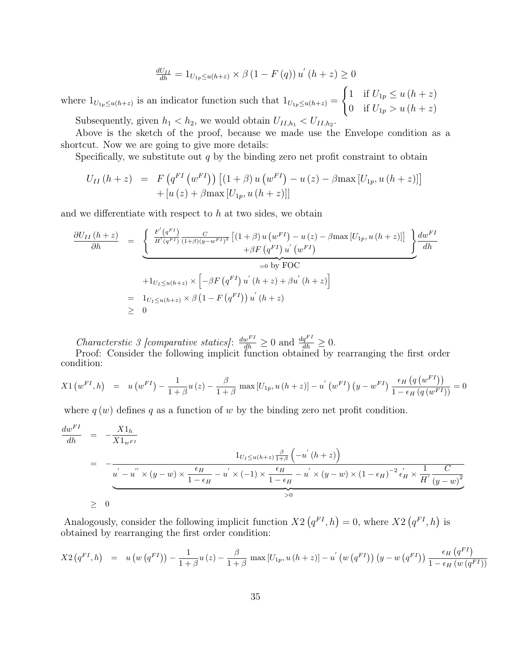$$
\frac{dU_{II}}{dh} = 1_{U_{1p} \le u(h+z)} \times \beta (1 - F(q)) u'(h+z) \ge 0
$$

where  $1_{U_{1p} \leq u(h+z)}$  is an indicator function such that  $1_{U_{1p} \leq u(h+z)} =$  $\int 1$  if  $U_{1p} \leq u(h+z)$ 0 if  $U_{1p} > u (h + z)$ Subsequently, given  $h_1 < h_2$ , we would obtain  $U_{II,h_1} < U_{II,h_2}$ .

Above is the sketch of the proof, because we made use the Envelope condition as a shortcut. Now we are going to give more details:

Specifically, we substitute out  $q$  by the binding zero net profit constraint to obtain

$$
U_{II} (h + z) = F (q^{FI} (w^{FI})) [(1 + \beta) u (w^{FI}) - u (z) - \beta \max [U_{1p}, u (h + z)]]
$$
  
+ [u (z) + \beta \max [U\_{1p}, u (h + z)]]

and we differentiate with respect to  $h$  at two sides, we obtain

$$
\frac{\partial U_{II}(h+z)}{\partial h} = \underbrace{\left\{\begin{array}{l} \frac{F'(q^{FI})}{H'(q^{FI})} \frac{C}{(1+\beta)(y-w^{FI})^2} \left[ (1+\beta) u(w^{FI}) - u(z) - \beta \max[U_{1p}, u(h+z)] \right] \end{array}\right\}}_{=0 \text{ by FOC}} + \left\{ \begin{array}{l} \frac{1}{2} \frac{dw^{FI}}{dh} \\ + \beta F(q^{FI}) u'(w^{FI}) \end{array}\right\}}_{=0 \text{ by FOC}} \\ = \left\{ \begin{array}{l} \frac{1}{2} U_{I \leq u(h+z)} \times \left[ -\beta F(q^{FI}) u'(h+z) + \beta u'(h+z) \right] \\ \geq 0 \end{array}\right\}
$$

Characterstic 3 [comparative statics]:  $\frac{dw^{FI}}{dh} \geq 0$  and  $\frac{dq^{FI}}{dh} \geq 0$ .

Proof: Consider the following implicit function obtained by rearranging the first order condition:

$$
X1\left(w^{FI},h\right) = u\left(w^{FI}\right) - \frac{1}{1+\beta}u\left(z\right) - \frac{\beta}{1+\beta}\max\left[U_{1p},u\left(h+z\right)\right] - u'\left(w^{FI}\right)\left(y - w^{FI}\right)\frac{\epsilon_H\left(q\left(w^{FI}\right)\right)}{1 - \epsilon_H\left(q\left(w^{FI}\right)\right)} = 0
$$

where  $q(w)$  defines q as a function of w by the binding zero net profit condition.

$$
\frac{dw^{FI}}{dh} = -\frac{X1_h}{X1_{w^{FI}}}
$$
\n
$$
= -\frac{1_{U_I \le u(h+z)\frac{\beta}{1+\beta}}\left(-u'(h+z)\right)}{u'-u'' \times (y-w) \times \frac{\epsilon_H}{1-\epsilon_H} - u' \times (-1) \times \frac{\epsilon_H}{1-\epsilon_H} - u' \times (y-w) \times (1-\epsilon_H)^{-2} \epsilon'_H \times \frac{1}{H'} \frac{C}{(y-w)^2}}
$$
\n
$$
\ge 0
$$

Analogously, consider the following implicit function  $X2(q^{FI}, h) = 0$ , where  $X2(q^{FI}, h)$  is obtained by rearranging the first order condition:

$$
X2\left(q^{FI},h\right) = u\left(w\left(q^{FI}\right)\right) - \frac{1}{1+\beta}u\left(z\right) - \frac{\beta}{1+\beta}\max\left[U_{1p},u\left(h+z\right)\right] - u'\left(w\left(q^{FI}\right)\right)\left(y - w\left(q^{FI}\right)\right) \frac{\epsilon_H\left(q^{FI}\right)}{1-\epsilon_H\left(w\left(q^{FI}\right)\right)}
$$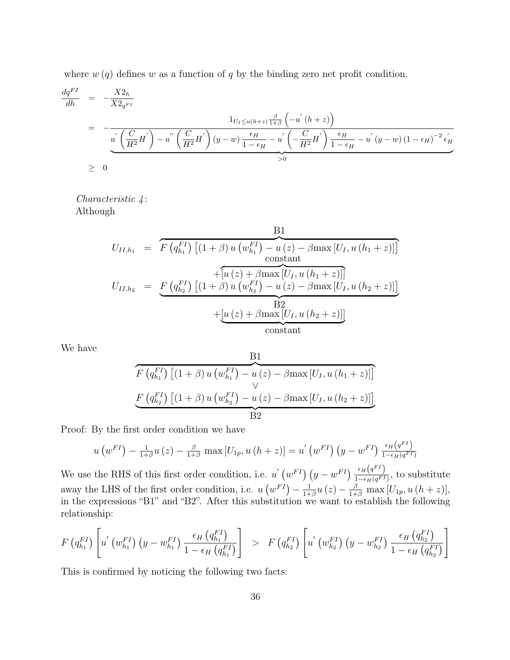where  $w(q)$  defines w as a function of q by the binding zero net profit condition.

$$
\frac{dq^{FI}}{dh} = -\frac{X2_h}{X2_{q^{FI}}}
$$
\n
$$
= -\frac{1_{U_I \le u(h+z)} \frac{\beta}{1+\beta} \left(-u'(h+z)\right)}{u' \left(\frac{C}{H^2}H'\right) - u'' \left(\frac{C}{H^2}H'\right)(y-w) \frac{\epsilon_H}{1-\epsilon_H} - u' \left(-\frac{C}{H^2}H'\right) \frac{\epsilon_H}{1-\epsilon_H} - u'(y-w)(1-\epsilon_H)^{-2} \frac{\epsilon'_H}{H^2}}
$$
\n
$$
\ge 0
$$

Characteristic 4 : Although

$$
U_{II,h_1} = \overbrace{F(q_{h_1}^{FI}) \left[ (1+\beta) u (w_{h_1}^{FI}) - u (z) - \beta \max [U_I, u (h_1 + z)] \right]}^{\text{constant}}
$$
  
\n
$$
U_{II,h_2} = \underbrace{F(q_{h_2}^{FI}) \left[ (1+\beta) u (w_{h_2}^{FI}) - u (z) - \beta \max [U_I, u (h_2 + z)] \right]}_{\text{B2}}
$$
  
\n+
$$
\underbrace{[u (z) + \beta \max [U_I, u (h_2 + z)]]}_{\text{constant}}
$$
  
\n
$$
U_{II,h_2} = \underbrace{F(q_{h_2}^{FI}) \left[ (1+\beta) u (w_{h_2}^{FI}) - u (z) - \beta \max [U_I, u (h_2 + z)] \right]}_{\text{constant}}
$$

We have

$$
\frac{B1}{F(q_{h_1}^{FI}) [(1 + \beta) u (w_{h_1}^{FI}) - u (z) - \beta \max [U_I, u (h_1 + z)]]}
$$
  

$$
\frac{F(q_{h_2}^{FI}) [(1 + \beta) u (w_{h_2}^{FI}) - u (z) - \beta \max [U_I, u (h_2 + z)]]}{B2}
$$

Proof: By the first order condition we have

$$
u\left(w^{FI}\right) - \frac{1}{1+\beta}u\left(z\right) - \frac{\beta}{1+\beta}\max\left[U_{1p}, u\left(h+z\right)\right] = u'\left(w^{FI}\right)\left(y - w^{FI}\right)\frac{\epsilon_H\left(q^{FI}\right)}{1-\epsilon_H(q^{FI})}
$$

We use the RHS of this first order condition, i.e. u'  $(w^{FI}) (y - w^{FI}) \frac{\epsilon_H(q^{FI})}{1 - \epsilon_H(q^{FI})}$  $\frac{\epsilon_H(q)}{1-\epsilon_H(q^{FI})}$ , to substitute away the LHS of the first order condition, i.e.  $u(w^{FI}) - \frac{1}{1+}$  $\frac{1}{1+\beta}u(z) - \frac{\beta}{1+\beta} \max[U_{1p}, u(h+z)],$ in the expressions "B1" and "B2". After this substitution we want to establish the following relationship:

$$
F(q_{h_1}^{FI})\left[u^{'}(w_{h_1}^{FI})\left(y-w_{h_1}^{FI}\right)\frac{\epsilon_H\left(q_{h_1}^{FI}\right)}{1-\epsilon_H\left(q_{h_1}^{FI}\right)}\right] > F(q_{h_2}^{FI})\left[u^{'}(w_{h_2}^{FI})\left(y-w_{h_2}^{FI}\right)\frac{\epsilon_H\left(q_{h_2}^{FI}\right)}{1-\epsilon_H\left(q_{h_2}^{FI}\right)}\right]
$$

This is confirmed by noticing the following two facts: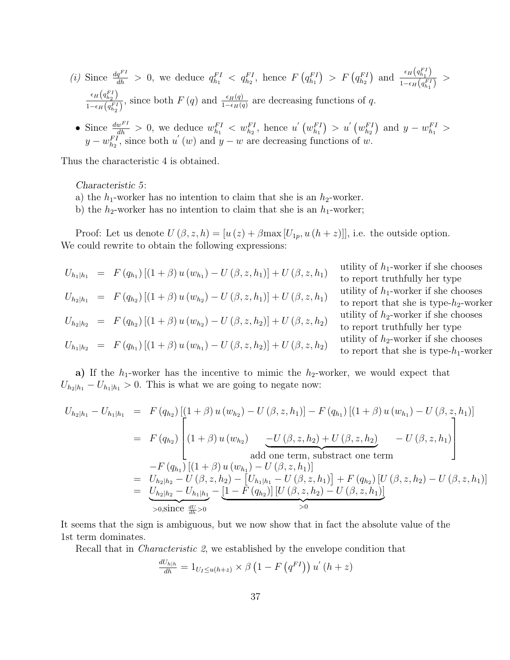- (i) Since  $\frac{dq^{FI}}{dh} > 0$ , we deduce  $q_{h_1}^{FI} < q_{h_2}^{FI}$ , hence  $F(q_{h_1}^{FI}) > F(q_{h_2}^{FI})$  and  $\frac{\epsilon_H(q_{h_1}^{FI})}{1-\epsilon_H(q_{h_1}^{FI})}$  $\frac{C_H(q_{h_1})}{1-\epsilon_H(q_{h_1}^{FI})} >$  $\epsilon_H\big(q_{h_2}^{FI}\big)$  $\frac{\epsilon_H(q_{h_2}^{r_1})}{1-\epsilon_H(q_{h_2}^{F_1})}$ , since both  $F(q)$  and  $\frac{\epsilon_H(q)}{1-\epsilon_H(q)}$  are decreasing functions of q.
- Since  $\frac{dw^{FI}}{dh} > 0$ , we deduce  $w^{FI}_{h_1} < w^{FI}_{h_2}$ , hence  $u'(w^{FI}_{h_1}) > u'(w^{FI}_{h_2})$  and  $y w^{FI}_{h_1} >$  $y - w_{h_2}^{FI}$ , since both u'(w) and  $y - w$  are decreasing functions of w.

Thus the characteristic 4 is obtained.

Characteristic 5:

- a) the  $h_1$ -worker has no intention to claim that she is an  $h_2$ -worker.
- b) the  $h_2$ -worker has no intention to claim that she is an  $h_1$ -worker;

Proof: Let us denote  $U(\beta, z, h) = [u(z) + \beta \max [U_{1p}, u(h+z)]]$ , i.e. the outside option. We could rewrite to obtain the following expressions:

$$
U_{h_1|h_1} = F(q_{h_1}) [(1 + \beta) u (w_{h_1}) - U(\beta, z, h_1)] + U(\beta, z, h_1)
$$
  
\n
$$
U_{h_2|h_1} = F(q_{h_2}) [(1 + \beta) u (w_{h_2}) - U(\beta, z, h_1)] + U(\beta, z, h_1)
$$
  
\n
$$
U_{h_2|h_2} = F(q_{h_2}) [(1 + \beta) u (w_{h_2}) - U(\beta, z, h_2)] + U(\beta, z, h_2)
$$
  
\n
$$
U_{h_1|h_2} = F(q_{h_1}) [(1 + \beta) u (w_{h_1}) - U(\beta, z, h_2)] + U(\beta, z, h_2)
$$

utility of  $h_1$ -worker if she chooses to report truthfully her type utility of  $h_1$ -worker if she chooses to report that she is type- $h_2$ -worker utility of  $h_2$ -worker if she chooses to report truthfully her type utility of  $h_2$ -worker if she chooses to report that she is type- $h_1$ -worker

a) If the  $h_1$ -worker has the incentive to mimic the  $h_2$ -worker, we would expect that  $U_{h_2|h_1} - U_{h_1|h_1} > 0$ . This is what we are going to negate now:

$$
U_{h_2|h_1} - U_{h_1|h_1} = F(q_{h_2}) [(1 + \beta) u (w_{h_2}) - U(\beta, z, h_1)] - F(q_{h_1}) [(1 + \beta) u (w_{h_1}) - U(\beta, z, h_1)]
$$
  
\n
$$
= F(q_{h_2}) \begin{bmatrix} (1 + \beta) u (w_{h_2}) & -U(\beta, z, h_2) + U(\beta, z, h_2) & -U(\beta, z, h_1) \end{bmatrix}
$$
  
\nadd one term, substrate one term  
\n
$$
-F(q_{h_1}) [(1 + \beta) u (w_{h_1}) - U(\beta, z, h_1)]
$$
  
\n
$$
= U_{h_2|h_2} - U(\beta, z, h_2) - [U_{h_1|h_1} - U(\beta, z, h_1)] + F(q_{h_2}) [U(\beta, z, h_2) - U(\beta, z, h_1)]
$$
  
\n
$$
= U_{h_2|h_2} - U_{h_1|h_1} - [1 - F(q_{h_2})] [U(\beta, z, h_2) - U(\beta, z, h_1)]
$$
  
\n
$$
= U_{h_2|h_2} - U_{h_1|h_1} - [1 - F(q_{h_2})] [U(\beta, z, h_2) - U(\beta, z, h_1)]
$$
  
\n
$$
= 0
$$

It seems that the sign is ambiguous, but we now show that in fact the absolute value of the 1st term dominates.

Recall that in Characteristic 2, we established by the envelope condition that

$$
\frac{dU_{h|h}}{dh} = 1_{U_I \le u(h+z)} \times \beta \left(1 - F\left(q^{FI}\right)\right) u'\left(h+z\right)
$$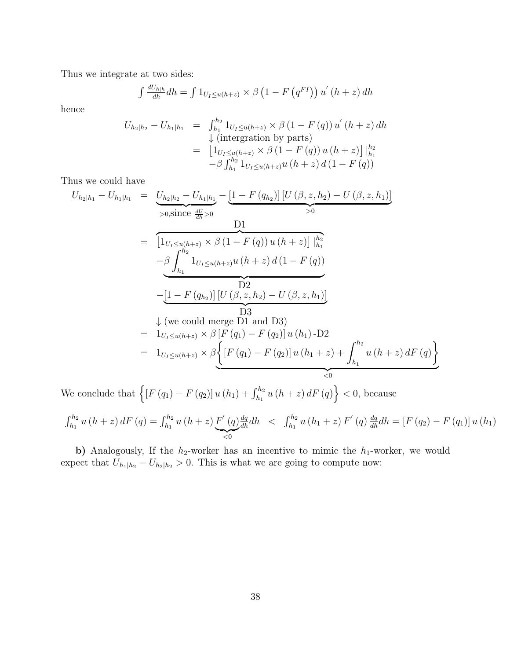Thus we integrate at two sides:

$$
\int \frac{dU_{h|h}}{dh} dh = \int 1_{U_I \le u(h+z)} \times \beta \left(1 - F\left(q^{FI}\right)\right) u'\left(h+z\right) dh
$$

hence

$$
U_{h_2|h_2} - U_{h_1|h_1} = \int_{h_1}^{h_2} 1_{U_I \le u(h+z)} \times \beta (1 - F(q)) u'(h+z) dh
$$
  
\n
$$
\downarrow \text{ (integration by parts)}
$$
  
\n
$$
= \left[ 1_{U_I \le u(h+z)} \times \beta (1 - F(q)) u(h+z) \right] \Big|_{h_1}^{h_2}
$$
  
\n
$$
- \beta \int_{h_1}^{h_2} 1_{U_I \le u(h+z)} u(h+z) d(1 - F(q))
$$

Thus we could have

$$
U_{h_2|h_1} - U_{h_1|h_1} = \underbrace{U_{h_2|h_2} - U_{h_1|h_1}}_{>0, \text{since } \frac{dU}{dh} > 0} - \underbrace{\left[1 - F(q_{h_2})\right] \left[U(\beta, z, h_2) - U(\beta, z, h_1)\right]}_{>0}
$$
\n
$$
= \underbrace{\left[1_{U_I \le u(h+z)} \times \beta \left(1 - F(q)\right) u\left(h+z\right)\right] \Big|_{h_1}^{h_2}}_{h_1} - \underbrace{\beta \int_{h_1}^{h_2} 1_{U_I \le u(h+z)} u\left(h+z\right) d\left(1 - F(q)\right)}_{\text{D2}}
$$
\n
$$
- \underbrace{\left[1 - F(q_{h_2})\right] \left[U(\beta, z, h_2) - U(\beta, z, h_1)\right]}_{\text{D3}}
$$
\n
$$
= \underbrace{\begin{array}{c} 1 \\ \downarrow \text{ (we could merge D1 and D3)}\\ 1 \\ U_I \le u(h+z)} \times \beta \left[F(q_1) - F(q_2)\right] u\left(h_1\right) - D2\\ 1 \\ U_I \le u(h+z)} \times \beta \left\{\left[F(q_1) - F(q_2)\right] u\left(h_1+z\right) + \int_{h_1}^{h_2} u\left(h+z\right) dF(q)\right\} \right\}
$$

We conclude that  $\left\{ \left[ F\left( q_{1}\right) -F\left( q_{2}\right) \right] u\left( h_{1}\right) +\int_{h_{1}}^{h_{2}}u\left( h+z\right) dF\left( q\right) \right\} <0,$  because

$$
\int_{h_1}^{h_2} u(h+z) dF(q) = \int_{h_1}^{h_2} u(h+z) \underbrace{F'(q) \frac{dq}{dh} dh}_{\leq 0} \leq \int_{h_1}^{h_2} u(h_1+z) F'(q) \frac{dq}{dh} dh = [F(q_2) - F(q_1)] u(h_1)
$$

b) Analogously, If the  $h_2$ -worker has an incentive to mimic the  $h_1$ -worker, we would expect that  $U_{h_1|h_2} - U_{h_2|h_2} > 0$ . This is what we are going to compute now: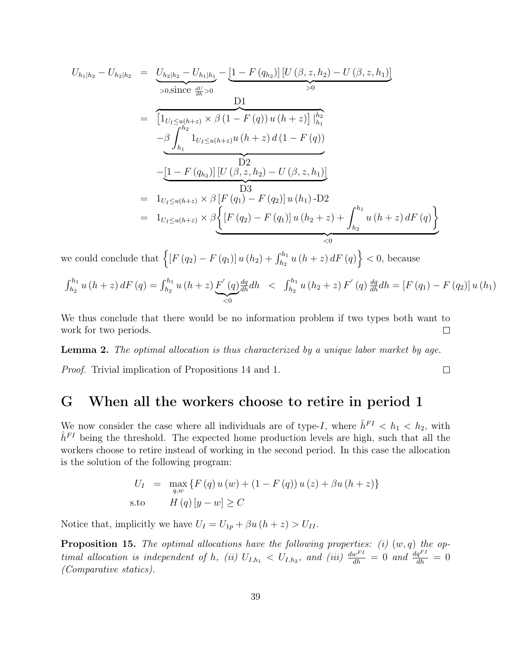$$
U_{h_1|h_2} - U_{h_2|h_2} = U_{h_2|h_2} - U_{h_1|h_1} - [1 - F(q_{h_2})] [U(\beta, z, h_2) - U(\beta, z, h_1)]
$$
  
\n
$$
= \underbrace{\begin{bmatrix} 1_{U_I \le u(h+z)} \times \beta (1 - F(q)) u(h+z) \end{bmatrix} \begin{bmatrix} h_2 \\ h_1 \end{bmatrix}}_{>0}
$$
  
\n
$$
= \underbrace{\begin{bmatrix} 1_{U_I \le u(h+z)} \times \beta (1 - F(q)) u(h+z) \end{bmatrix} \begin{bmatrix} h_2 \\ h_1 \end{bmatrix}}_{\text{-} \underline{\beta} \underline{\begin{bmatrix} h_2 \\ h_1 \end{bmatrix}} \begin{bmatrix} 1_{U_I \le u(h+z)} u(h+z) d(1 - F(q)) \end{bmatrix}}_{\text{-} \underline{D}^2}
$$
  
\n
$$
= \underbrace{\begin{bmatrix} 1 - F(q_{h_2}) \end{bmatrix} [U(\beta, z, h_2) - U(\beta, z, h_1)]}_{\text{} \underline{D}^3}
$$
  
\n
$$
= \underbrace{\begin{bmatrix} 1_{U_I \le u(h+z)} \times \beta [F(q_1) - F(q_2)] u(h_1) - D^2 \end{bmatrix}}_{\text{} \le 0}
$$
  
\n
$$
= \underbrace{\begin{bmatrix} 1_{U_I \le u(h+z)} \times \beta [F(q_2) - F(q_1)] u(h_2 + z) + \int_{h_2}^{h_1} u(h+z) dF(q) \end{bmatrix}}_{\text{} \le 0}
$$

we could conclude that  $\left\{ \left[ F \left( q_2 \right) - F \left( q_1 \right) \right] u \left( h_2 \right) + \int_{h_2}^{h_1} u \left( h + z \right) dF \left( q \right) \right\} < 0$ , because

$$
\int_{h_2}^{h_1} u(h+z) dF(q) = \int_{h_2}^{h_1} u(h+z) \underbrace{F'(q) \frac{dq}{dh}}_{\leq 0} dh \leq \int_{h_2}^{h_1} u(h_2+z) F'(q) \frac{dq}{dh} dh = [F(q_1) - F(q_2)] u(h_1)
$$

We thus conclude that there would be no information problem if two types both want to work for two periods.  $\Box$ 

Lemma 2. The optimal allocation is thus characterized by a unique labor market by age.

Proof. Trivial implication of Propositions 14 and 1.

### G When all the workers choose to retire in period 1

We now consider the case where all individuals are of type-I, where  $\hat{h}^{FI} < h_1 < h_2$ , with  $\hat{h}^{FI}$  being the threshold. The expected home production levels are high, such that all the workers choose to retire instead of working in the second period. In this case the allocation is the solution of the following program:

$$
U_{I} = \max_{q,w} \{ F(q) u(w) + (1 - F(q)) u(z) + \beta u (h + z) \}
$$
  
s.to  $H(q)[y - w] \ge C$ 

Notice that, implicitly we have  $U_I = U_{1p} + \beta u (h + z) > U_{II}$ .

**Proposition 15.** The optimal allocations have the following properties: (i)  $(w, q)$  the optimal allocation is independent of h, (ii)  $U_{I,h_1} < U_{I,h_2}$ , and (iii)  $\frac{dw^{FI}}{dh} = 0$  and  $\frac{dq^{FI}}{dh} = 0$ (Comparative statics).

 $\Box$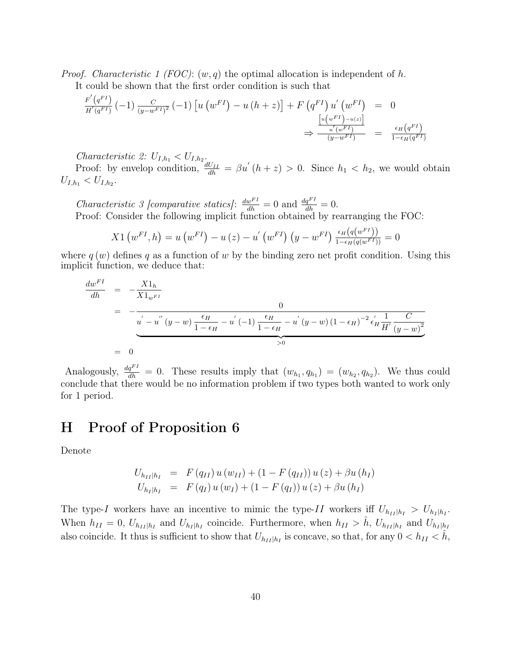*Proof.* Characteristic 1 (FOC):  $(w, q)$  the optimal allocation is independent of h.

It could be shown that the first order condition is such that

$$
\frac{F'(q^{FI})}{H'(q^{FI})}(-1)\frac{C}{(y-w^{FI})^2}(-1)\left[u\left(w^{FI}\right)-u\left(h+z\right)\right]+F\left(q^{FI}\right)u'\left(w^{FI}\right) = 0
$$
\n
$$
\Rightarrow \frac{\left[u\left(w^{FI}\right)-u\left(z\right)\right]}{u'\left(w^{FI}\right)} = \frac{\epsilon_H(q^{FI})}{1-\epsilon_H(q^{FI})}
$$

Characteristic 2:  $U_{I,h_1} < U_{I,h_2}$ .

Proof: by envelop condition,  $\frac{dU_{II}}{dh} = \beta u'(h+z) > 0$ . Since  $h_1 < h_2$ , we would obtain  $U_{I,h_1} < U_{I,h_2}.$ 

*Characteristic 3 [comparative statics]*:  $\frac{dw^{FI}}{dh} = 0$  and  $\frac{dq^{FI}}{dh} = 0$ . Proof: Consider the following implicit function obtained by rearranging the FOC:

$$
X1\left(w^{FI},h\right) = u\left(w^{FI}\right) - u\left(z\right) - u'\left(w^{FI}\right)\left(y - w^{FI}\right) \frac{\epsilon_H\left(q\left(w^{FI}\right)\right)}{1 - \epsilon_H\left(q\left(w^{FI}\right)\right)} = 0
$$

where  $q(w)$  defines q as a function of w by the binding zero net profit condition. Using this implicit function, we deduce that:

$$
\frac{dw^{FI}}{dh} = -\frac{X1_h}{X1_{w^{FI}}}
$$
\n
$$
= -\frac{0}{u^{'} - u^{''}(y - w) \frac{\epsilon_H}{1 - \epsilon_H} - u^{'}(-1) \frac{\epsilon_H}{1 - \epsilon_H} - u^{'}(y - w) (1 - \epsilon_H)^{-2} \epsilon_H^{'} \frac{1}{H^{'}(y - w)^{2}}}
$$
\n
$$
= 0
$$

Analogously,  $\frac{dq^{FI}}{dh} = 0$ . These results imply that  $(w_{h_1}, q_{h_1}) = (w_{h_2}, q_{h_2})$ . We thus could conclude that there would be no information problem if two types both wanted to work only for 1 period.

#### H Proof of Proposition 6

Denote

$$
U_{h_{II}|h_I} = F(q_{II}) u(w_{II}) + (1 - F(q_{II})) u(z) + \beta u(h_I)
$$
  
\n
$$
U_{h_I|h_I} = F(q_I) u(w_I) + (1 - F(q_I)) u(z) + \beta u(h_I)
$$

The type-I workers have an incentive to mimic the type-II workers iff  $U_{h_{II}|h_I} > U_{h_I|h_I}$ . When  $h_{II} = 0$ ,  $U_{h_{II}|h_I}$  and  $U_{h_I|h_I}$  coincide. Furthermore, when  $h_{II} > \hat{h}$ ,  $U_{h_{II}|h_I}$  and  $U_{h_I|h_I}$ also coincide. It thus is sufficient to show that  $U_{h_{II}|h_I}$  is concave, so that, for any  $0 < h_{II} < \hat{h}$ ,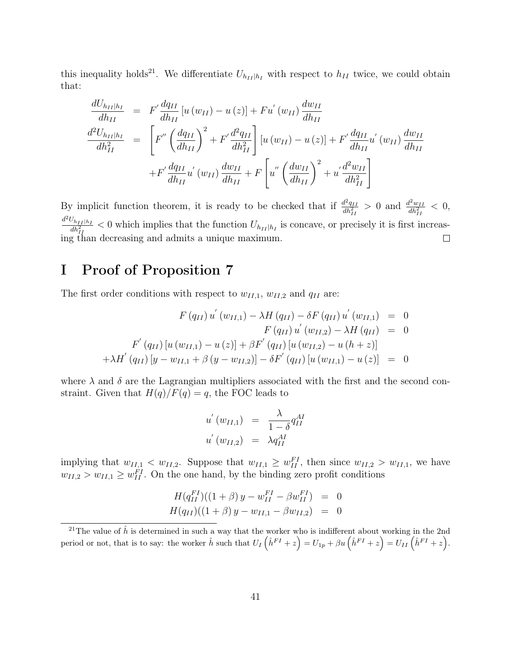this inequality holds<sup>21</sup>. We differentiate  $U_{h_{II}|h_I}$  with respect to  $h_{II}$  twice, we could obtain that:

$$
\frac{dU_{h_{II}|h_I}}{dh_{II}} = F' \frac{dq_{II}}{dh_{II}} [u (w_{II}) - u (z)] + Fu' (w_{II}) \frac{dw_{II}}{dh_{II}}
$$
\n
$$
\frac{d^2U_{h_{II}|h_I}}{dh_{II}^2} = \left[ F'' \left( \frac{dq_{II}}{dh_{II}} \right)^2 + F' \frac{d^2q_{II}}{dh_{II}^2} \right] [u (w_{II}) - u (z)] + F' \frac{dq_{II}}{dh_{II}} u' (w_{II}) \frac{dw_{II}}{dh_{II}}
$$
\n
$$
+ F' \frac{dq_{II}}{dh_{II}} u' (w_{II}) \frac{dw_{II}}{dh_{II}} + F \left[ u'' \left( \frac{dw_{II}}{dh_{II}} \right)^2 + u' \frac{d^2w_{II}}{dh_{II}^2} \right]
$$

By implicit function theorem, it is ready to be checked that if  $\frac{d^2q_{II}}{dt^2}$  $\frac{d^2 q_{II}}{dh^2_{II}} > 0$  and  $\frac{d^2 w_{II}}{dh^2_{II}}$  $d^2U_{h_{II}|h_I}$  < 0 which implies that the function  $U_{h_1}$  is concave or precisely it is first in  $\frac{d^2w_{II}}{dh_{II}^2} < 0,$  $\frac{\partial h_{II}h_I}{\partial h_{II}^2}$  < 0 which implies that the function  $U_{h_{II}|h_I}$  is concave, or precisely it is first increasing than decreasing and admits a unique maximum.

### I Proof of Proposition 7

The first order conditions with respect to  $w_{II,1}$ ,  $w_{II,2}$  and  $q_{II}$  are:

$$
F(q_{II}) u'(w_{II,1}) - \lambda H(q_{II}) - \delta F(q_{II}) u'(w_{II,1}) = 0
$$
  
\n
$$
F(q_{II}) u'(w_{II,2}) - \lambda H(q_{II}) = 0
$$
  
\n
$$
F'(q_{II}) [u(w_{II,1}) - u(z)] + \beta F'(q_{II}) [u(w_{II,2}) - u(h+z)]
$$
  
\n
$$
+ \lambda H'(q_{II}) [y - w_{II,1} + \beta (y - w_{II,2})] - \delta F'(q_{II}) [u(w_{II,1}) - u(z)] = 0
$$

where  $\lambda$  and  $\delta$  are the Lagrangian multipliers associated with the first and the second constraint. Given that  $H(q)/F(q) = q$ , the FOC leads to

$$
u'(w_{II,1}) = \frac{\lambda}{1-\delta} q_{II}^{AI}
$$
  

$$
u'(w_{II,2}) = \lambda q_{II}^{AI}
$$

implying that  $w_{II,1} < w_{II,2}$ . Suppose that  $w_{II,1} \ge w_{II}^{FI}$ , then since  $w_{II,2} > w_{II,1}$ , we have  $w_{II,2} > w_{II,1} \geq w_{II}^{FI}$ . On the one hand, by the binding zero profit conditions

$$
H(q_{II}^{FI})((1+\beta) y - w_{II}^{FI} - \beta w_{II}^{FI}) = 0
$$
  

$$
H(q_{II})((1+\beta) y - w_{II,1} - \beta w_{II,2}) = 0
$$

<sup>&</sup>lt;sup>21</sup>The value of  $\hat{h}$  is determined in such a way that the worker who is indifferent about working in the 2nd period or not, that is to say: the worker  $\hat{h}$  such that  $U_I(\hat{h}^{FI}+z)=U_{1p}+\beta u(\hat{h}^{FI}+z)=U_{II}(\hat{h}^{FI}+z)$ .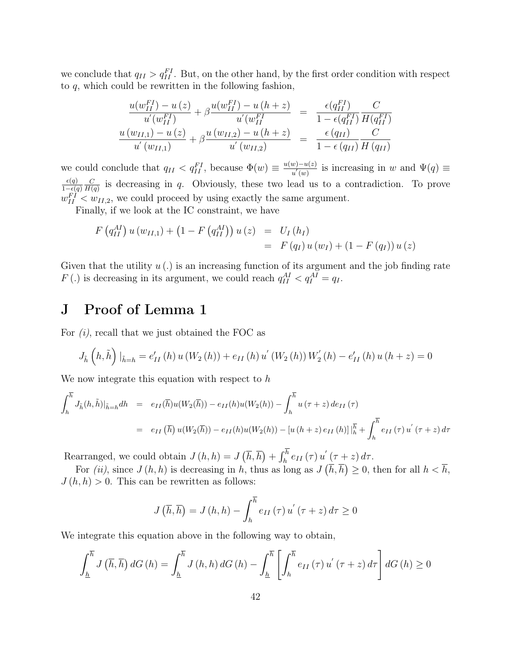we conclude that  $q_{II} > q_{II}^{FI}$ . But, on the other hand, by the first order condition with respect to  $q$ , which could be rewritten in the following fashion,

$$
\frac{u(w_{II}^{FI}) - u(z)}{u'(w_{II}^{FI})} + \beta \frac{u(w_{II}^{FI}) - u(h+z)}{u'(w_{II}^{FI})} = \frac{\epsilon(q_{II}^{FI})}{1 - \epsilon(q_{II}^{FI})} \frac{C}{H(q_{II}^{FI})}
$$

$$
\frac{u(w_{II,1}) - u(z)}{u'(w_{II,1})} + \beta \frac{u(w_{II,2}) - u(h+z)}{u'(w_{II,2})} = \frac{\epsilon(q_{II})}{1 - \epsilon(q_{II})} \frac{C}{H(q_{II})}
$$

we could conclude that  $q_{II} < q_{II}^{FI}$ , because  $\Phi(w) \equiv \frac{u(w) - u(z)}{u'(w)}$  $\frac{w)-u(z)}{u'(w)}$  is increasing in w and  $\Psi(q) \equiv$  $\epsilon(q)$  $1-\epsilon(q)$  $\mathcal{C}_{0}^{0}$  $\frac{C}{H(q)}$  is decreasing in q. Obviously, these two lead us to a contradiction. To prove  $w_{II}^{FI} < w_{II,2}$ , we could proceed by using exactly the same argument.

Finally, if we look at the IC constraint, we have

$$
F(q_{II}^{AI}) u(w_{II,1}) + (1 - F(q_{II}^{AI})) u(z) = U_I(h_I)
$$
  
=  $F(q_I) u(w_I) + (1 - F(q_I)) u(z)$ 

Given that the utility  $u(.)$  is an increasing function of its argument and the job finding rate F(.) is decreasing in its argument, we could reach  $q_{II}^{AI} < q_I^{AI} = q_I$ .

### J Proof of Lemma 1

For  $(i)$ , recall that we just obtained the FOC as

$$
J_{\tilde{h}}\left(h,\tilde{h}\right)|_{\tilde{h}=h} = e'_{II}\left(h\right)u\left(W_2\left(h\right)\right) + e_{II}\left(h\right)u'\left(W_2\left(h\right)\right)W_2'\left(h\right) - e'_{II}\left(h\right)u\left(h+z\right) = 0
$$

We now integrate this equation with respect to h

$$
\int_{h}^{\overline{h}} J_{\tilde{h}}(h, \tilde{h})|_{\tilde{h}=h} dh = e_{II}(\overline{h})u(W_{2}(\overline{h})) - e_{II}(h)u(W_{2}(h)) - \int_{h}^{\overline{h}} u(\tau + z) de_{II}(\tau)
$$
  

$$
= e_{II}(\overline{h}) u(W_{2}(\overline{h})) - e_{II}(h)u(W_{2}(h)) - [u(h+z) e_{II}(h)]|_{h}^{\overline{h}} + \int_{h}^{\overline{h}} e_{II}(\tau) u'(\tau + z) d\tau
$$

Rearranged, we could obtain  $J(h, h) = J(\bar{h}, \bar{h}) + \int_h^h e_{II}(\tau) u'(\tau + z) d\tau$ .

For *(ii)*, since  $J(h, h)$  is decreasing in h, thus as long as  $J(\bar{h}, \bar{h}) \geq 0$ , then for all  $h < \bar{h}$ ,  $J(h, h) > 0$ . This can be rewritten as follows:

$$
J\left(\overline{h}, \overline{h}\right) = J\left(h, h\right) - \int_{h}^{\overline{h}} e_{II}\left(\tau\right) u^{'}\left(\tau + z\right) d\tau \ge 0
$$

We integrate this equation above in the following way to obtain,

$$
\int_{\underline{h}}^{\overline{h}} J\left(\overline{h}, \overline{h}\right) dG\left(h\right) = \int_{\underline{h}}^{\overline{h}} J\left(h, h\right) dG\left(h\right) - \int_{\underline{h}}^{\overline{h}} \left[ \int_{h}^{\overline{h}} e_{II}\left(\tau\right) u^{'}\left(\tau + z\right) d\tau \right] dG\left(h\right) \ge 0
$$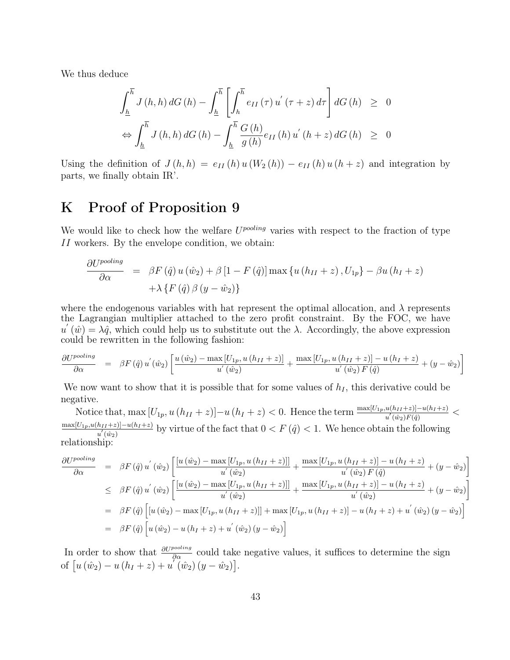We thus deduce

$$
\int_{\underline{h}}^{\overline{h}} J(h, h) dG(h) - \int_{\underline{h}}^{\overline{h}} \left[ \int_{h}^{\overline{h}} e_{II}(\tau) u^{'}(\tau + z) d\tau \right] dG(h) \geq 0
$$
  

$$
\Leftrightarrow \int_{\underline{h}}^{\overline{h}} J(h, h) dG(h) - \int_{\underline{h}}^{\overline{h}} \frac{G(h)}{g(h)} e_{II}(h) u^{'}(h + z) dG(h) \geq 0
$$

Using the definition of  $J(h, h) = e_{II}(h) u (W_2(h)) - e_{II}(h) u (h + z)$  and integration by parts, we finally obtain IR'.

### K Proof of Proposition 9

We would like to check how the welfare  $U^{pooling}$  varies with respect to the fraction of type II workers. By the envelope condition, we obtain:

$$
\frac{\partial U^{pooling}}{\partial \alpha} = \beta F(\hat{q}) u(\hat{w}_2) + \beta [1 - F(\hat{q})] \max \{ u(h_{II} + z), U_{1p} \} - \beta u(h_I + z) + \lambda \{ F(\hat{q}) \beta (y - \hat{w}_2) \}
$$

where the endogenous variables with hat represent the optimal allocation, and  $\lambda$  represents the Lagrangian multiplier attached to the zero profit constraint. By the FOC, we have  $u'(\hat{w}) = \lambda \hat{q}$ , which could help us to substitute out the  $\lambda$ . Accordingly, the above expression could be rewritten in the following fashion:

$$
\frac{\partial U^{pooling}}{\partial \alpha} = \beta F(\hat{q}) u^{'}(\hat{w}_2) \left[ \frac{u(\hat{w}_2) - \max[U_{1p}, u(h_{II} + z)]}{u^{'}(\hat{w}_2)} + \frac{\max[U_{1p}, u(h_{II} + z)] - u(h_{I} + z)}{u^{'}(\hat{w}_2) F(\hat{q})} + (y - \hat{w}_2) \right]
$$

We now want to show that it is possible that for some values of  $h_I$ , this derivative could be negative.

Notice that, max  $[U_{1p}, u(h_{II}+z)]-u(h_I+z) < 0$ . Hence the term  $\frac{\max[U_{1p}, u(h_{II}+z)]-u(h_I+z)}{u'(w_2)F(\hat{q})} <$  $\frac{\max[U_{1p},u(h_{II}+z)]-u(h_I+z)}{n'(g_{0,1})}$  by virtue of the fact that  $0 < F(\hat{q}) < 1$ . We hence obtain the following  $u'\left(\hat{w}_2\right)$ relationship:

$$
\frac{\partial U^{pooling}}{\partial \alpha} = \beta F(\hat{q}) u^{'}(\hat{w}_{2}) \left[ \frac{[u(\hat{w}_{2}) - \max[U_{1p}, u(h_{II} + z)]]}{u^{'}(\hat{w}_{2})} + \frac{\max[U_{1p}, u(h_{II} + z)] - u(h_{I} + z)}{u^{'}(\hat{w}_{2}) F(\hat{q})} + (y - \hat{w}_{2}) \right]
$$
\n
$$
\leq \beta F(\hat{q}) u^{'}(\hat{w}_{2}) \left[ \frac{[u(\hat{w}_{2}) - \max[U_{1p}, u(h_{II} + z)]]}{u^{'}(\hat{w}_{2})} + \frac{\max[U_{1p}, u(h_{II} + z)] - u(h_{I} + z)}{u^{'}(\hat{w}_{2})} + (y - \hat{w}_{2}) \right]
$$
\n
$$
= \beta F(\hat{q}) \left[ [u(\hat{w}_{2}) - \max[U_{1p}, u(h_{II} + z)]] + \max[U_{1p}, u(h_{II} + z)] - u(h_{I} + z) + u^{'}(\hat{w}_{2}) (y - \hat{w}_{2}) \right]
$$
\n
$$
= \beta F(\hat{q}) \left[ u(\hat{w}_{2}) - u(h_{I} + z) + u^{'}(\hat{w}_{2}) (y - \hat{w}_{2}) \right]
$$

In order to show that  $\frac{\partial U^{pooling}}{\partial \alpha}$  could take negative values, it suffices to determine the sign of  $[u(\hat{w}_2) - u(h_I + z) + u(\hat{w}_2)(y - \hat{w}_2)].$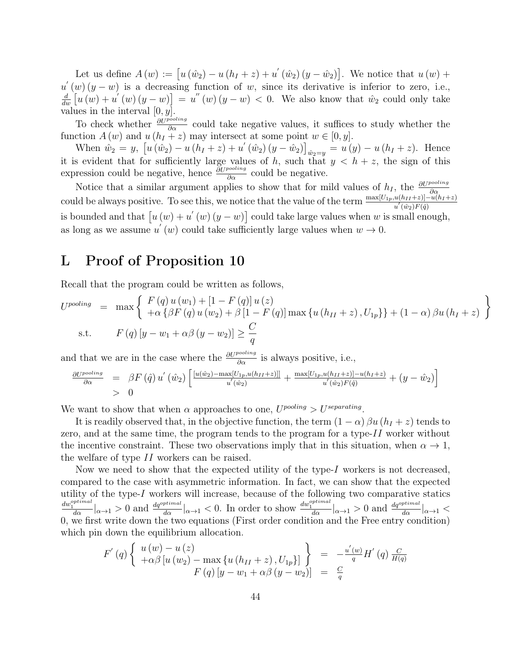Let us define  $A(w) := [u(\hat{w}_2) - u(h_I + z) + u'(\hat{w}_2)(y - \hat{w}_2)].$  We notice that  $u(w) +$  $u'(w)(y-w)$  is a decreasing function of w, since its derivative is inferior to zero, i.e.,  $\frac{d}{dw}\left[u\left(w\right)+u'\left(w\right)\left(y-w\right)\right]=u''\left(w\right)\left(y-w\right)<0.$  We also know that  $\hat{w}_2$  could only take values in the interval  $[0, y]$ .

To check whether  $\frac{\partial U^{pooling}}{\partial \alpha}$  could take negative values, it suffices to study whether the function  $A(w)$  and  $u(h_I + z)$  may intersect at some point  $w \in [0, y]$ .

When  $\hat{w}_2 = y$ ,  $[u(\hat{w}_2) - u(h_I + z) + u'(\hat{w}_2)(y - \hat{w}_2)]_{\hat{w}_2 = y} = u(y) - u(h_I + z)$ . Hence it is evident that for sufficiently large values of h, such that  $y < h + z$ , the sign of this expression could be negative, hence  $\frac{\partial U^{pooling}}{\partial \alpha}$  could be negative.

Notice that a similar argument applies to show that for mild values of  $h_I$ , the  $\frac{\partial U^{pooling}}{\partial \alpha}$ From that a similar argument appress to show that for finder variates of  $n_1$ , the  $\frac{\partial \alpha}{\partial \alpha}$ <br>could be always positive. To see this, we notice that the value of the term  $\frac{\max[U_{1p},u(h_{II}+z)]-u(h_I+z)}{u'(x_2)F(\hat{q})}$ is bounded and that  $[u(w) + u'(w)(y - w)]$  could take large values when w is small enough, as long as we assume  $u'(w)$  could take sufficiently large values when  $w \to 0$ .

#### L Proof of Proposition 10

Recall that the program could be written as follows,

$$
U^{pooling} = \max \left\{ \begin{array}{l} F(q) u (w_1) + [1 - F(q)] u (z) \\ + \alpha \{ \beta F(q) u (w_2) + \beta [1 - F(q)] \max \{ u (h_{II} + z), U_{1p} \} \} + (1 - \alpha) \beta u (h_I + z) \end{array} \right\}
$$
  
s.t. 
$$
F(q) [y - w_1 + \alpha \beta (y - w_2)] \ge \frac{C}{q}
$$

and that we are in the case where the  $\frac{\partial U^{pooling}}{\partial \alpha}$  is always positive, i.e.,

$$
\frac{\partial U^{pooling}}{\partial \alpha} = \beta F(\hat{q}) u'(\hat{w}_2) \left[ \frac{[u(\hat{w}_2) - \max[U_{1p}, u(h_{II} + z)]]}{u'(\hat{w}_2)} + \frac{\max[U_{1p}, u(h_{II} + z)] - u(h_{I} + z)}{u'(\hat{w}_2)F(\hat{q})} + (y - \hat{w}_2) \right]
$$
  
> 0

We want to show that when  $\alpha$  approaches to one,  $U^{pooling} > U^{separating}$ .

It is readily observed that, in the objective function, the term  $(1 - \alpha) \beta u (h_I + z)$  tends to zero, and at the same time, the program tends to the program for a type- $II$  worker without the incentive constraint. These two observations imply that in this situation, when  $\alpha \to 1$ , the welfare of type II workers can be raised.

Now we need to show that the expected utility of the type- $I$  workers is not decreased, compared to the case with asymmetric information. In fact, we can show that the expected utility of the type- $I$  workers will increase, because of the following two comparative statics  $\frac{dw_1^{optimal}}{d\alpha}|_{\alpha\to 1} > 0$  and  $\frac{dq^{optimal}}{d\alpha}|_{\alpha\to 1} < 0$ . In order to show  $\frac{dw_1^{optimal}}{d\alpha}|_{\alpha\to 1} > 0$  and  $\frac{dq^{optimal}}{d\alpha}|_{\alpha\to 1} <$ 0, we first write down the two equations (First order condition and the Free entry condition) which pin down the equilibrium allocation.

$$
F'(q) \left\{ \begin{array}{l} u(w) - u(z) \\ +\alpha \beta \left[ u(w_2) - \max \{ u(h_{II} + z), U_{1p} \} \right] \\ F(q) \left[ y - w_1 + \alpha \beta \left( y - w_2 \right) \right] \end{array} \right\} = -\frac{u'(w)}{q} H'(q) \frac{C}{H(q)}
$$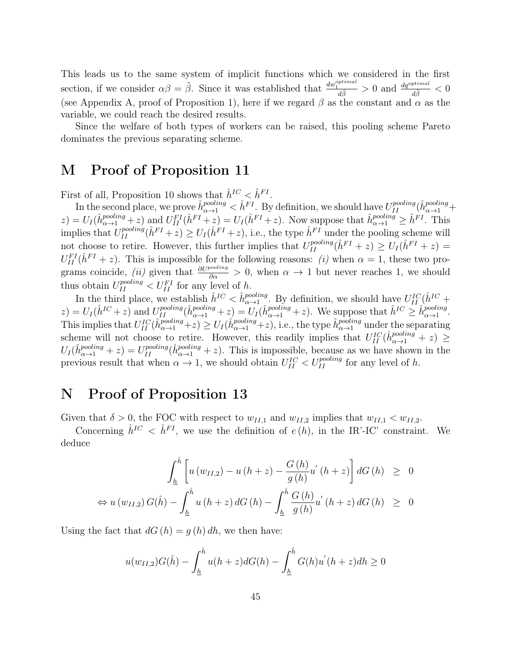This leads us to the same system of implicit functions which we considered in the first section, if we consider  $\alpha\beta = \tilde{\beta}$ . Since it was established that  $\frac{dw_1^{optimal}}{d\tilde{\beta}} > 0$  and  $\frac{dq^{optimal}}{d\tilde{\beta}} < 0$ (see Appendix A, proof of Proposition 1), here if we regard  $\beta$  as the constant and  $\alpha$  as the variable, we could reach the desired results.

Since the welfare of both types of workers can be raised, this pooling scheme Pareto dominates the previous separating scheme.

#### M Proof of Proposition 11

First of all, Proposition 10 shows that  $\hat{h}^{IC} < \hat{h}^{FI}$ .

In the second place, we prove  $\hat{h}^{pooling}_{\alpha \to 1} < \hat{h}^{FI}$ . By definition, we should have  $U^{pooling}_{II}(\hat{h}^{pooling}_{\alpha \to 1} +$  $(z) = U_I(\hat{h}_{\alpha \to 1}^{pooling} + z)$  and  $U_{II}^{FI}(\hat{h}^{FI} + z) = U_I(\hat{h}^{FI} + z)$ . Now suppose that  $\hat{h}_{\alpha \to 1}^{pooling} \geq \hat{h}^{FI}$ . This implies that  $U_{II}^{pooling}(\hat{h}^{FI}+z) \ge U_I(\hat{h}^{FI}+z)$ , i.e., the type  $\hat{h}^{FI}$  under the pooling scheme will not choose to retire. However, this further implies that  $U_{II}^{pooling}(\hat{h}^{FI}+z) \geq U_I(\hat{h}^{FI}+z)$  $U_{II}^{FI}(\hat{h}^{FI}+z)$ . This is impossible for the following reasons: (i) when  $\alpha=1$ , these two programs coincide, *(ii)* given that  $\frac{\partial U^{pooling}}{\partial \alpha} > 0$ , when  $\alpha \to 1$  but never reaches 1, we should thus obtain  $U_{II}^{pooling} < U_{II}^{FI}$  for any level of h.

In the third place, we establish  $\hat{h}^{IC} < \hat{h}_{\alpha \to 1}^{pooling}$ . By definition, we should have  $U_{II}^{IC}(\hat{h}^{IC} + \hat{h}_{\alpha \to 1})$  $(z) = U_I(\hat{h}^{IC} + z)$  and  $U_{II}^{pooling}(\hat{h}_{\alpha \to 1}^{pooling} + z) = U_I(\hat{h}_{\alpha \to 1}^{pooling} + z)$ . We suppose that  $\hat{h}^{IC} \geq \hat{h}_{\alpha \to 1}^{pooling}$ . This implies that  $U_{II}^{IC}(\hat{h}_{\alpha \to 1}^{pooling} + z) \ge U_I(\hat{h}_{\alpha \to 1}^{pooling} + z)$ , i.e., the type  $\hat{h}_{\alpha \to 1}^{pooling}$  under the separating scheme will not choose to retire. However, this readily implies that  $U_{II}^{IC}(\hat{h}_{\alpha \to 1}^{pooling} + z) \geq$  $U_I(\hat{h}_{\alpha \to 1}^{pooling} + z) = U_{II}^{pooling}(\hat{h}_{\alpha \to 1}^{pooling} + z)$ . This is impossible, because as we have shown in the previous result that when  $\alpha \to 1$ , we should obtain  $U_{II}^{IC} < U_{II}^{pooling}$  for any level of h.

### N Proof of Proposition 13

Given that  $\delta > 0$ , the FOC with respect to  $w_{II,1}$  and  $w_{II,2}$  implies that  $w_{II,1} < w_{II,2}$ .

Concerning  $\hat{h}^{IC} < \hat{h}^{FI}$ , we use the definition of  $e(h)$ , in the IR'-IC' constraint. We deduce

$$
\int_{\underline{h}}^{\hat{h}} \left[ u \left( w_{II,2} \right) - u \left( h + z \right) - \frac{G \left( h \right)}{g \left( h \right)} u' \left( h + z \right) \right] dG \left( h \right) \geq 0
$$
  
\n
$$
\Leftrightarrow u \left( w_{II,2} \right) G(\hat{h}) - \int_{\underline{h}}^{\hat{h}} u \left( h + z \right) dG \left( h \right) - \int_{\underline{h}}^{\hat{h}} \frac{G \left( h \right)}{g \left( h \right)} u' \left( h + z \right) dG \left( h \right) \geq 0
$$

Using the fact that  $dG(h) = g(h) dh$ , we then have:

$$
u(w_{II,2})G(\hat{h}) - \int_{\underline{h}}^{\hat{h}} u(h+z)dG(h) - \int_{\underline{h}}^{\hat{h}} G(h)u^{'}(h+z)dh \ge 0
$$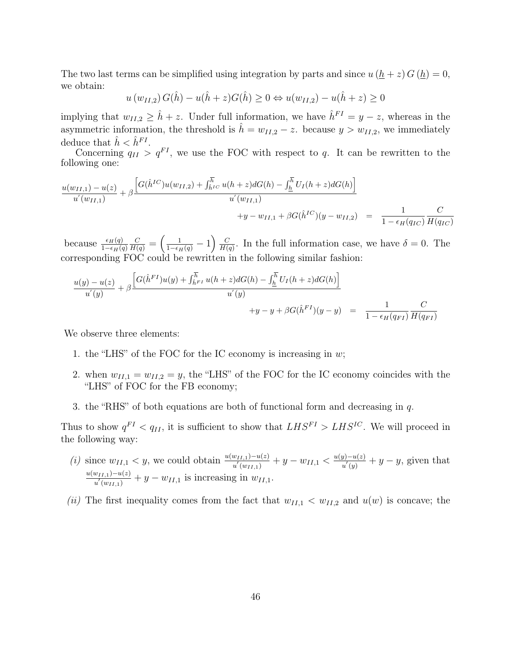The two last terms can be simplified using integration by parts and since  $u(\underline{h} + z) G(\underline{h}) = 0$ , we obtain:

$$
u(w_{II,2}) G(\hat{h}) - u(\hat{h} + z) G(\hat{h}) \ge 0 \Leftrightarrow u(w_{II,2}) - u(\hat{h} + z) \ge 0
$$

implying that  $w_{II,2} \geq \hat{h} + z$ . Under full information, we have  $\hat{h}^{FI} = y - z$ , whereas in the asymmetric information, the threshold is  $\hat{h} = w_{II,2} - z$ . because  $y > w_{II,2}$ , we immediately deduce that  $\hat{h} < \hat{h}^{FI}$ .

Concerning  $q_{II} > q^{FI}$ , we use the FOC with respect to q. It can be rewritten to the following one:

$$
\frac{u(w_{II,1}) - u(z)}{u'(w_{II,1})} + \beta \frac{\left[G(\hat{h}^{IC})u(w_{II,2}) + \int_{\hat{h}^{IC}}^{\overline{h}} u(h+z)dG(h) - \int_{\underline{h}}^{\overline{h}} U_I(h+z)dG(h)\right]}{u'(w_{II,1})} + y - w_{II,1} + \beta G(\hat{h}^{IC})(y - w_{II,2}) = \frac{1}{1 - \epsilon_H(q_{IC})} \frac{C}{H(q_{IC})}
$$

because  $\frac{\epsilon_H(q)}{1-\epsilon_H(q)}$  $\frac{C}{H(q)}=\left(\frac{1}{1-\epsilon_H(q)}-1\right)\frac{C}{H(q)}$  $\frac{C}{H(q)}$ . In the full information case, we have  $\delta = 0$ . The corresponding FOC could be rewritten in the following similar fashion:

$$
\frac{u(y) - u(z)}{u'(y)} + \beta \frac{\left[G(\hat{h}^{FI})u(y) + \int_{\hat{h}^{FI}}^{\overline{h}} u(h+z)dG(h) - \int_{\underline{h}}^{\overline{h}} U_I(h+z)dG(h)\right]}{u'(y)} + y - y + \beta G(\hat{h}^{FI})(y-y) = \frac{1}{1 - \epsilon_H(q_{FI})} \frac{C}{H(q_{FI})}
$$

We observe three elements:

- 1. the "LHS" of the FOC for the IC economy is increasing in  $w$ ;
- 2. when  $w_{II,1} = w_{II,2} = y$ , the "LHS" of the FOC for the IC economy coincides with the "LHS" of FOC for the FB economy;
- 3. the "RHS" of both equations are both of functional form and decreasing in  $q$ .

Thus to show  $q^{FI} < q_{II}$ , it is sufficient to show that  $LHS^{FI} > LHS^{IC}$ . We will proceed in the following way:

- (i) since  $w_{II,1} < y$ , we could obtain  $\frac{u(w_{II,1}) u(z)}{u'(w_{II,1})} + y w_{II,1} < \frac{u(y) u(z)}{u'(y)}$  $\frac{y-y-u(z)}{u'(y)}+y-y$ , given that  $u(w_{II,1})-u(z)$  $\frac{w_{II,1}-u(z)}{u'(w_{II,1})}+y-w_{II,1}$  is increasing in  $w_{II,1}$ .
- (ii) The first inequality comes from the fact that  $w_{II,1} < w_{II,2}$  and  $u(w)$  is concave; the